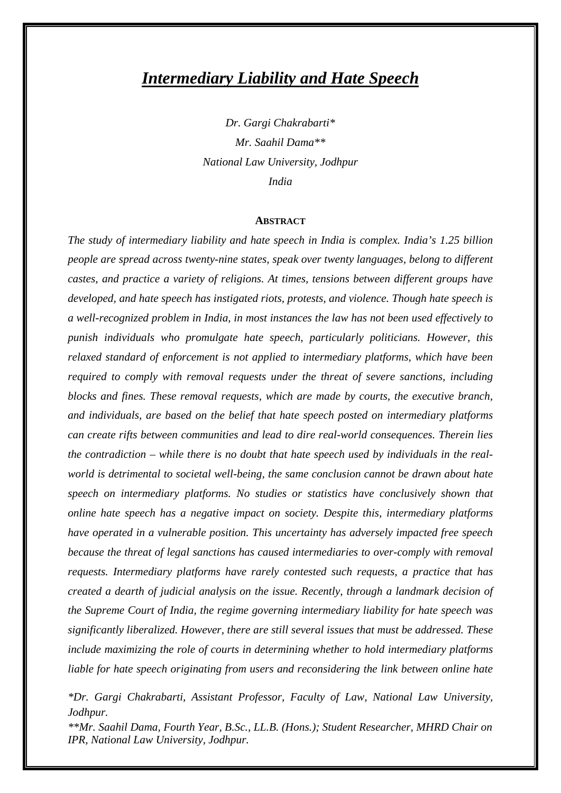# *Intermediary Liability and Hate Speech*

*Dr. Gargi Chakrabarti\* Mr. Saahil Dama\*\* National Law University, Jodhpur India*

#### **ABSTRACT**

*The study of intermediary liability and hate speech in India is complex. India's 1.25 billion people are spread across twenty-nine states, speak over twenty languages, belong to different castes, and practice a variety of religions. At times, tensions between different groups have developed, and hate speech has instigated riots, protests, and violence. Though hate speech is a well-recognized problem in India, in most instances the law has not been used effectively to punish individuals who promulgate hate speech, particularly politicians. However, this relaxed standard of enforcement is not applied to intermediary platforms, which have been required to comply with removal requests under the threat of severe sanctions, including blocks and fines. These removal requests, which are made by courts, the executive branch, and individuals, are based on the belief that hate speech posted on intermediary platforms can create rifts between communities and lead to dire real-world consequences. Therein lies the contradiction – while there is no doubt that hate speech used by individuals in the realworld is detrimental to societal well-being, the same conclusion cannot be drawn about hate speech on intermediary platforms. No studies or statistics have conclusively shown that online hate speech has a negative impact on society. Despite this, intermediary platforms have operated in a vulnerable position. This uncertainty has adversely impacted free speech because the threat of legal sanctions has caused intermediaries to over-comply with removal requests. Intermediary platforms have rarely contested such requests, a practice that has created a dearth of judicial analysis on the issue. Recently, through a landmark decision of the Supreme Court of India, the regime governing intermediary liability for hate speech was significantly liberalized. However, there are still several issues that must be addressed. These include maximizing the role of courts in determining whether to hold intermediary platforms liable for hate speech originating from users and reconsidering the link between online hate* 

*\*Dr. Gargi Chakrabarti, Assistant Professor, Faculty of Law, National Law University, Jodhpur.* 

*\*\*Mr. Saahil Dama, Fourth Year, B.Sc., LL.B. (Hons.); Student Researcher, MHRD Chair on IPR, National Law University, Jodhpur.*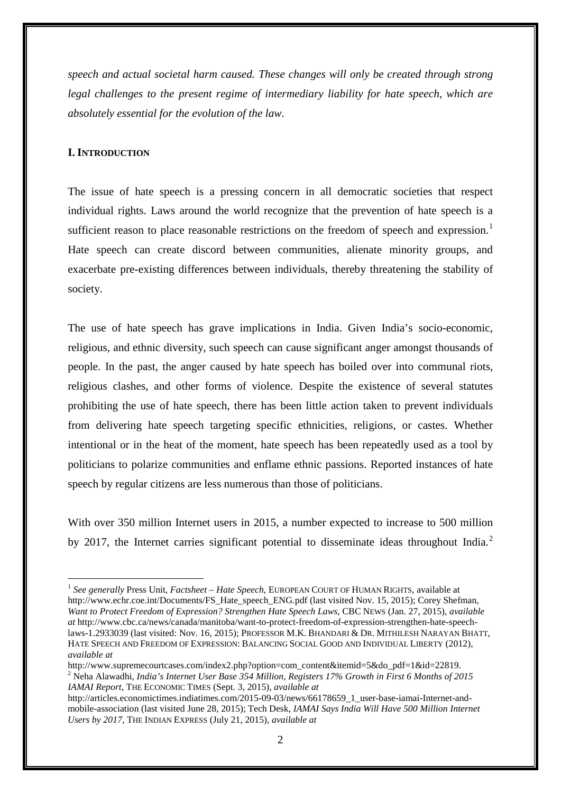*speech and actual societal harm caused. These changes will only be created through strong legal challenges to the present regime of intermediary liability for hate speech, which are absolutely essential for the evolution of the law.* 

#### **I. INTRODUCTION**

<u>.</u>

The issue of hate speech is a pressing concern in all democratic societies that respect individual rights. Laws around the world recognize that the prevention of hate speech is a sufficient reason to place reasonable restrictions on the freedom of speech and expression.<sup>[1](#page-1-0)</sup> Hate speech can create discord between communities, alienate minority groups, and exacerbate pre-existing differences between individuals, thereby threatening the stability of society.

The use of hate speech has grave implications in India. Given India's socio-economic, religious, and ethnic diversity, such speech can cause significant anger amongst thousands of people. In the past, the anger caused by hate speech has boiled over into communal riots, religious clashes, and other forms of violence. Despite the existence of several statutes prohibiting the use of hate speech, there has been little action taken to prevent individuals from delivering hate speech targeting specific ethnicities, religions, or castes. Whether intentional or in the heat of the moment, hate speech has been repeatedly used as a tool by politicians to polarize communities and enflame ethnic passions. Reported instances of hate speech by regular citizens are less numerous than those of politicians.

With over 350 million Internet users in 2015, a number expected to increase to 500 million by [2](#page-1-1)017, the Internet carries significant potential to disseminate ideas throughout India.<sup>2</sup>

<span id="page-1-1"></span>http://www.supremecourtcases.com/index2.php?option=com\_content&itemid=5&do\_pdf=1&id=22819. <sup>2</sup> Neha Alawadhi, *India's Internet User Base 354 Million, Registers 17% Growth in First 6 Months of 2015 IAMAI Report*, THE ECONOMIC TIMES (Sept. 3, 2015), *available at*

<span id="page-1-0"></span><sup>1</sup> *See generally* Press Unit, *Factsheet – Hate Speech*, EUROPEAN COURT OF HUMAN RIGHTS, available at http://www.echr.coe.int/Documents/FS\_Hate\_speech\_ENG.pdf (last visited Nov. 15, 2015); Corey Shefman, *Want to Protect Freedom of Expression? Strengthen Hate Speech Laws*, CBC NEWS (Jan. 27, 2015), *available at* http://www.cbc.ca/news/canada/manitoba/want-to-protect-freedom-of-expression-strengthen-hate-speechlaws-1.2933039 (last visited: Nov. 16, 2015); PROFESSOR M.K. BHANDARI & DR. MITHILESH NARAYAN BHATT, HATE SPEECH AND FREEDOM OF EXPRESSION: BALANCING SOCIAL GOOD AND INDIVIDUAL LIBERTY (2012), *available at*

http://articles.economictimes.indiatimes.com/2015-09-03/news/66178659\_1\_user-base-iamai-Internet-andmobile-association (last visited June 28, 2015); Tech Desk, *IAMAI Says India Will Have 500 Million Internet Users by 2017*, THE INDIAN EXPRESS (July 21, 2015), *available at*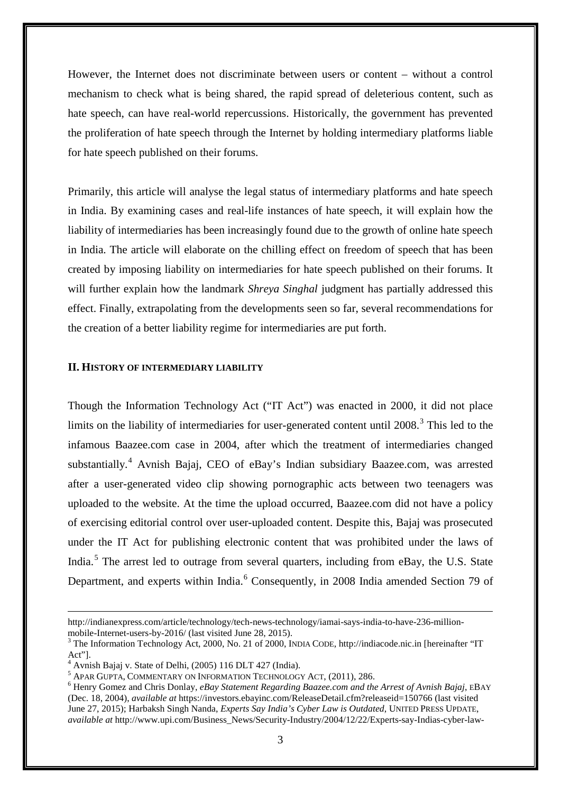However, the Internet does not discriminate between users or content – without a control mechanism to check what is being shared, the rapid spread of deleterious content, such as hate speech, can have real-world repercussions. Historically, the government has prevented the proliferation of hate speech through the Internet by holding intermediary platforms liable for hate speech published on their forums.

Primarily, this article will analyse the legal status of intermediary platforms and hate speech in India. By examining cases and real-life instances of hate speech, it will explain how the liability of intermediaries has been increasingly found due to the growth of online hate speech in India. The article will elaborate on the chilling effect on freedom of speech that has been created by imposing liability on intermediaries for hate speech published on their forums. It will further explain how the landmark *Shreya Singhal* judgment has partially addressed this effect. Finally, extrapolating from the developments seen so far, several recommendations for the creation of a better liability regime for intermediaries are put forth.

#### **II. HISTORY OF INTERMEDIARY LIABILITY**

Though the Information Technology Act ("IT Act") was enacted in 2000, it did not place limits on the liability of intermediaries for user-generated content until 2008.<sup>[3](#page-2-0)</sup> This led to the infamous Baazee.com case in 2004, after which the treatment of intermediaries changed substantially. [4](#page-2-1) Avnish Bajaj, CEO of eBay's Indian subsidiary Baazee.com, was arrested after a user-generated video clip showing pornographic acts between two teenagers was uploaded to the website. At the time the upload occurred, Baazee.com did not have a policy of exercising editorial control over user-uploaded content. Despite this, Bajaj was prosecuted under the IT Act for publishing electronic content that was prohibited under the laws of India.[5](#page-2-2) The arrest led to outrage from several quarters, including from eBay, the U.S. State Department, and experts within India.<sup>[6](#page-2-3)</sup> Consequently, in 2008 India amended Section 79 of

http://indianexpress.com/article/technology/tech-news-technology/iamai-says-india-to-have-236-millionmobile-Internet-users-by-2016/ (last visited June 28, 2015).<br><sup>3</sup> The Information Technology Act, 2000, No. 21 of 2000, INDIA CODE, http://indiacode.nic.in [hereinafter "IT

<span id="page-2-0"></span>Act"].

<span id="page-2-1"></span> $^4$  Avnish Bajaj v. State of Delhi, (2005) 116 DLT 427 (India).<br>  $^5$  APAR GUPTA, COMMENTARY ON INFORMATION TECHNOLOGY ACT, (2011), 286.

<span id="page-2-3"></span><span id="page-2-2"></span> $^6$  Henry Gomez and Chris Donlay, *eBay Statement Regarding Baazee.com and the Arrest of Avnish Bajaj*, *EBAY* (Dec. 18, 2004), *available at* https://investors.ebayinc.com/ReleaseDetail.cfm?releaseid=150766 (last visited June 27, 2015); Harbaksh Singh Nanda, *Experts Say India's Cyber Law is Outdated*, UNITED PRESS UPDATE, *available at* http://www.upi.com/Business\_News/Security-Industry/2004/12/22/Experts-say-Indias-cyber-law-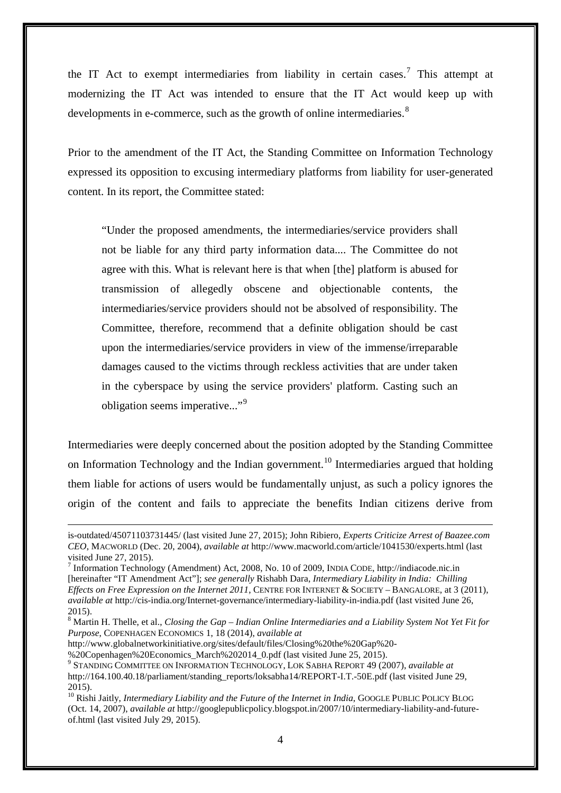the IT Act to exempt intermediaries from liability in certain cases.<sup>[7](#page-3-0)</sup> This attempt at modernizing the IT Act was intended to ensure that the IT Act would keep up with developments in e-commerce, such as the growth of online intermediaries. $8<sup>8</sup>$  $8<sup>8</sup>$ 

Prior to the amendment of the IT Act, the Standing Committee on Information Technology expressed its opposition to excusing intermediary platforms from liability for user-generated content. In its report, the Committee stated:

"Under the proposed amendments, the intermediaries/service providers shall not be liable for any third party information data.... The Committee do not agree with this. What is relevant here is that when [the] platform is abused for transmission of allegedly obscene and objectionable contents, the intermediaries/service providers should not be absolved of responsibility. The Committee, therefore, recommend that a definite obligation should be cast upon the intermediaries/service providers in view of the immense/irreparable damages caused to the victims through reckless activities that are under taken in the cyberspace by using the service providers' platform. Casting such an obligation seems imperative..."<sup>[9](#page-3-2)</sup>

Intermediaries were deeply concerned about the position adopted by the Standing Committee on Information Technology and the Indian government.<sup>[10](#page-3-3)</sup> Intermediaries argued that holding them liable for actions of users would be fundamentally unjust, as such a policy ignores the origin of the content and fails to appreciate the benefits Indian citizens derive from

is-outdated/45071103731445/ (last visited June 27, 2015); John Ribiero, *Experts Criticize Arrest of Baazee.com CEO*, MACWORLD (Dec. 20, 2004), *available at* http://www.macworld.com/article/1041530/experts.html (last visited June 27, 2015).

<span id="page-3-0"></span><sup>7</sup> Information Technology (Amendment) Act, 2008, No. 10 of 2009, INDIA CODE, http://indiacode.nic.in [hereinafter "IT Amendment Act"]; *see generally* Rishabh Dara, *Intermediary Liability in India: Chilling Effects on Free Expression on the Internet 2011*, CENTRE FOR INTERNET & SOCIETY – BANGALORE, at 3 (2011), *available at* http://cis-india.org/Internet-governance/intermediary-liability-in-india.pdf (last visited June 26, 2015).

<span id="page-3-1"></span><sup>8</sup> Martin H. Thelle, et al., *Closing the Gap – Indian Online Intermediaries and a Liability System Not Yet Fit for Purpose*, COPENHAGEN ECONOMICS 1, 18 (2014), *available at*

http://www.globalnetworkinitiative.org/sites/default/files/Closing%20the%20Gap%20-

<sup>%20</sup>Copenhagen%20Economics\_March%202014\_0.pdf (last visited June 25, 2015). <sup>9</sup> STANDING COMMITTEE ON INFORMATION TECHNOLOGY, LOK SABHA REPORT 49 (2007), *available at*

<span id="page-3-2"></span>http://164.100.40.18/parliament/standing\_reports/loksabha14/REPORT-I.T.-50E.pdf (last visited June 29, 2015).

<span id="page-3-3"></span><sup>&</sup>lt;sup>10</sup> Rishi Jaitly, *Intermediary Liability and the Future of the Internet in India*, GOOGLE PUBLIC POLICY BLOG (Oct. 14, 2007), *available at* http://googlepublicpolicy.blogspot.in/2007/10/intermediary-liability-and-futureof.html (last visited July 29, 2015).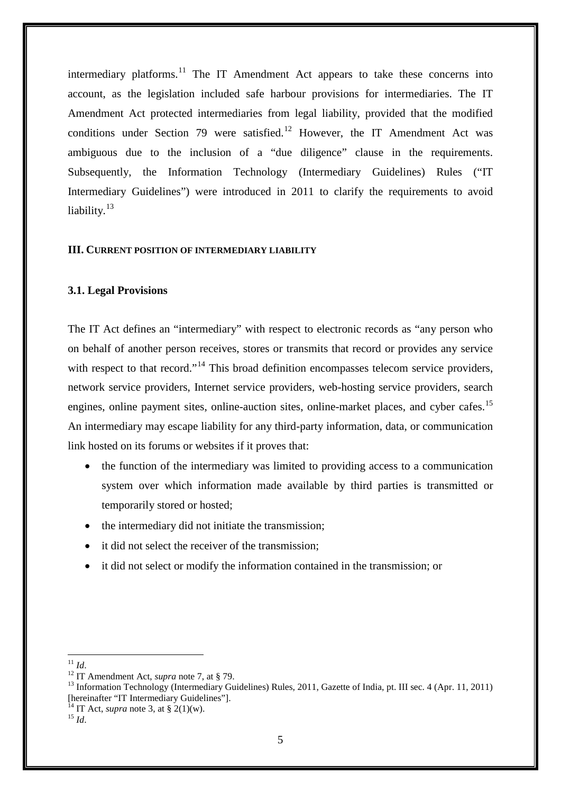intermediary platforms.<sup>[11](#page-4-0)</sup> The IT Amendment Act appears to take these concerns into account, as the legislation included safe harbour provisions for intermediaries. The IT Amendment Act protected intermediaries from legal liability, provided that the modified conditions under Section 79 were satisfied.<sup>[12](#page-4-1)</sup> However, the IT Amendment Act was ambiguous due to the inclusion of a "due diligence" clause in the requirements. Subsequently, the Information Technology (Intermediary Guidelines) Rules ("IT Intermediary Guidelines") were introduced in 2011 to clarify the requirements to avoid liability.<sup>[13](#page-4-2)</sup>

#### **III. CURRENT POSITION OF INTERMEDIARY LIABILITY**

#### **3.1. Legal Provisions**

The IT Act defines an "intermediary" with respect to electronic records as "any person who on behalf of another person receives, stores or transmits that record or provides any service with respect to that record."<sup>[14](#page-4-3)</sup> This broad definition encompasses telecom service providers, network service providers, Internet service providers, web-hosting service providers, search engines, online payment sites, online-auction sites, online-market places, and cyber cafes.<sup>[15](#page-4-4)</sup> An intermediary may escape liability for any third-party information, data, or communication link hosted on its forums or websites if it proves that:

- the function of the intermediary was limited to providing access to a communication system over which information made available by third parties is transmitted or temporarily stored or hosted;
- the intermediary did not initiate the transmission;
- it did not select the receiver of the transmission;
- it did not select or modify the information contained in the transmission; or

<span id="page-4-0"></span> $^{11}$  *Id.* 

<span id="page-4-2"></span><span id="page-4-1"></span><sup>&</sup>lt;sup>12</sup> IT Amendment Act, *supra* note 7, at § 79.<br><sup>13</sup> Information Technology (Intermediary Guidelines) Rules, 2011, Gazette of India, pt. III sec. 4 (Apr. 11, 2011) [hereinafter "IT Intermediary Guidelines"]. <sup>14</sup> IT Act, *supra* note 3, at § 2(1)(w). <sup>15</sup> *Id*.

<span id="page-4-4"></span><span id="page-4-3"></span>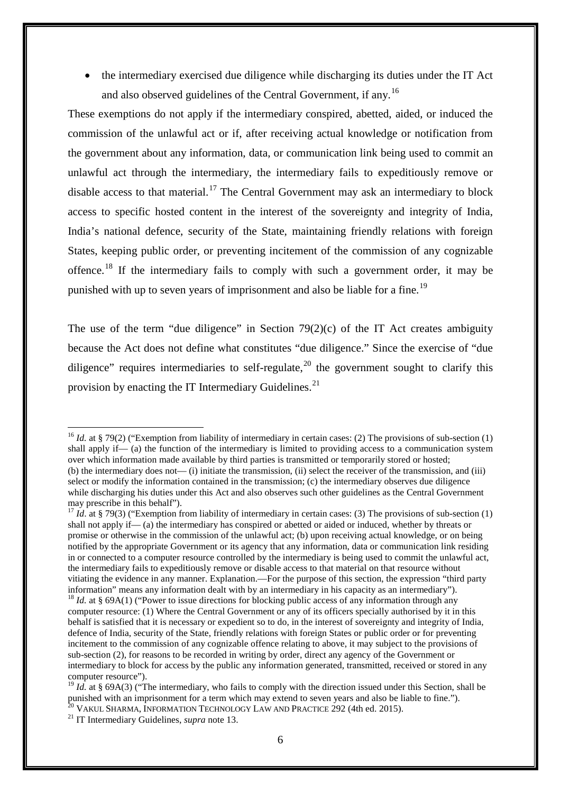• the intermediary exercised due diligence while discharging its duties under the IT Act and also observed guidelines of the Central Government, if any.[16](#page-5-0)

These exemptions do not apply if the intermediary conspired, abetted, aided, or induced the commission of the unlawful act or if, after receiving actual knowledge or notification from the government about any information, data, or communication link being used to commit an unlawful act through the intermediary, the intermediary fails to expeditiously remove or disable access to that material.<sup>[17](#page-5-1)</sup> The Central Government may ask an intermediary to block access to specific hosted content in the interest of the sovereignty and integrity of India, India's national defence, security of the State, maintaining friendly relations with foreign States, keeping public order, or preventing incitement of the commission of any cognizable offence.<sup>[18](#page-5-2)</sup> If the intermediary fails to comply with such a government order, it may be punished with up to seven years of imprisonment and also be liable for a fine.<sup>[19](#page-5-3)</sup>

The use of the term "due diligence" in Section  $79(2)(c)$  of the IT Act creates ambiguity because the Act does not define what constitutes "due diligence." Since the exercise of "due diligence" requires intermediaries to self-regulate,<sup>[20](#page-5-4)</sup> the government sought to clarify this provision by enacting the IT Intermediary Guidelines.<sup>[21](#page-5-5)</sup>

<span id="page-5-0"></span><sup>&</sup>lt;sup>16</sup> *Id.* at § 79(2) ("Exemption from liability of intermediary in certain cases: (2) The provisions of sub-section (1) shall apply if— (a) the function of the intermediary is limited to providing access to a communication system over which information made available by third parties is transmitted or temporarily stored or hosted; (b) the intermediary does not— (i) initiate the transmission, (ii) select the receiver of the transmission, and (iii) select or modify the information contained in the transmission; (c) the intermediary observes due diligence while discharging his duties under this Act and also observes such other guidelines as the Central Government may prescribe in this behalf'). -

<span id="page-5-1"></span><sup>&</sup>lt;sup>17</sup> *Id.* at § 79(3) ("Exemption from liability of intermediary in certain cases: (3) The provisions of sub-section (1) shall not apply if— (a) the intermediary has conspired or abetted or aided or induced, whether by threats or promise or otherwise in the commission of the unlawful act; (b) upon receiving actual knowledge, or on being notified by the appropriate Government or its agency that any information, data or communication link residing in or connected to a computer resource controlled by the intermediary is being used to commit the unlawful act, the intermediary fails to expeditiously remove or disable access to that material on that resource without vitiating the evidence in any manner. Explanation.—For the purpose of this section, the expression "third party information" means any information dealt with by an intermediary in his capacity as an intermediary"). <sup>18</sup> *Id.* at § 69A(1) ("Power to issue directions for blocking public access of any information through any

<span id="page-5-2"></span>computer resource: (1) Where the Central Government or any of its officers specially authorised by it in this behalf is satisfied that it is necessary or expedient so to do, in the interest of sovereignty and integrity of India, defence of India, security of the State, friendly relations with foreign States or public order or for preventing incitement to the commission of any cognizable offence relating to above, it may subject to the provisions of sub-section (2), for reasons to be recorded in writing by order, direct any agency of the Government or intermediary to block for access by the public any information generated, transmitted, received or stored in any computer resource").

<span id="page-5-3"></span><sup>&</sup>lt;sup>19</sup> *Id.* at § 69A(3) ("The intermediary, who fails to comply with the direction issued under this Section, shall be punished with an imprisonment for a term which may extend to seven years and also be liable to fine.").<br><sup>20</sup> VAKUL SHARMA, INFORMATION TECHNOLOGY LAW AND PRACTICE 292 (4th ed. 2015).<br><sup>21</sup> IT Intermediary Guidelines, *supra* 

<span id="page-5-5"></span><span id="page-5-4"></span>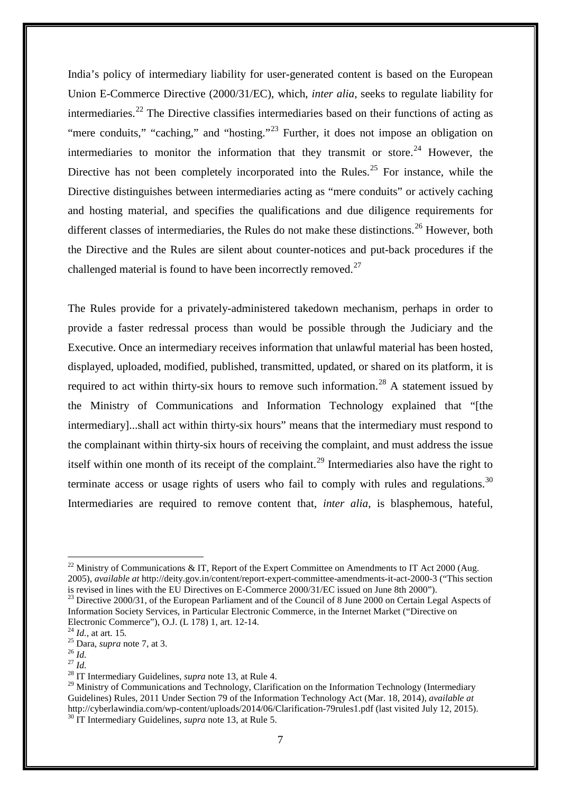India's policy of intermediary liability for user-generated content is based on the European Union E-Commerce Directive (2000/31/EC), which, *inter alia*, seeks to regulate liability for intermediaries.<sup>[22](#page-6-0)</sup> The Directive classifies intermediaries based on their functions of acting as "mere conduits," "caching," and "hosting."<sup>[23](#page-6-1)</sup> Further, it does not impose an obligation on intermediaries to monitor the information that they transmit or store.<sup>[24](#page-6-2)</sup> However, the Directive has not been completely incorporated into the Rules.<sup>[25](#page-6-3)</sup> For instance, while the Directive distinguishes between intermediaries acting as "mere conduits" or actively caching and hosting material, and specifies the qualifications and due diligence requirements for different classes of intermediaries, the Rules do not make these distinctions.<sup>[26](#page-6-4)</sup> However, both the Directive and the Rules are silent about counter-notices and put-back procedures if the challenged material is found to have been incorrectly removed.<sup>[27](#page-6-5)</sup>

The Rules provide for a privately-administered takedown mechanism, perhaps in order to provide a faster redressal process than would be possible through the Judiciary and the Executive. Once an intermediary receives information that unlawful material has been hosted, displayed, uploaded, modified, published, transmitted, updated, or shared on its platform, it is required to act within thirty-six hours to remove such information.<sup>[28](#page-6-6)</sup> A statement issued by the Ministry of Communications and Information Technology explained that "[the intermediary]...shall act within thirty-six hours" means that the intermediary must respond to the complainant within thirty-six hours of receiving the complaint, and must address the issue itself within one month of its receipt of the complaint.<sup>[29](#page-6-7)</sup> Intermediaries also have the right to terminate access or usage rights of users who fail to comply with rules and regulations.<sup>[30](#page-6-8)</sup> Intermediaries are required to remove content that, *inter alia*, is blasphemous, hateful,

<span id="page-6-0"></span><sup>&</sup>lt;sup>22</sup> Ministry of Communications & IT, Report of the Expert Committee on Amendments to IT Act 2000 (Aug. 2005), *available at* http://deity.gov.in/content/report-expert-committee-amendments-it-act-2000-3 ("This section is revised in lines with the EU Directives on E-Commerce 2000/31/EC issued on June 8th 2000").

<span id="page-6-1"></span><sup>&</sup>lt;sup>23</sup> Directive 2000/31, of the European Parliament and of the Council of 8 June 2000 on Certain Legal Aspects of Information Society Services, in Particular Electronic Commerce, in the Internet Market ("Directive on Electronic Commerce"), O.J. (L 178) 1, art. 12-14.<br><sup>24</sup> *Id.*, at art. 15.<br><sup>25</sup> Dara, *supra* note 7, at 3.<br><sup>27</sup> *Id.* <sup>28</sup> IT Intermediary Guidelines, *supra* note 13, at Rule 4.

<span id="page-6-2"></span>

<span id="page-6-3"></span>

<span id="page-6-5"></span><span id="page-6-4"></span>

<span id="page-6-8"></span><span id="page-6-7"></span><span id="page-6-6"></span><sup>&</sup>lt;sup>29</sup> Ministry of Communications and Technology, Clarification on the Information Technology (Intermediary Guidelines) Rules, 2011 Under Section 79 of the Information Technology Act (Mar. 18, 2014), *available at* http://cyberlawindia.com/wp-content/uploads/2014/06/Clarification-79rules1.pdf (last visited July 12, 2015). <sup>30</sup> IT Intermediary Guidelines, *supra* note 13, at Rule 5.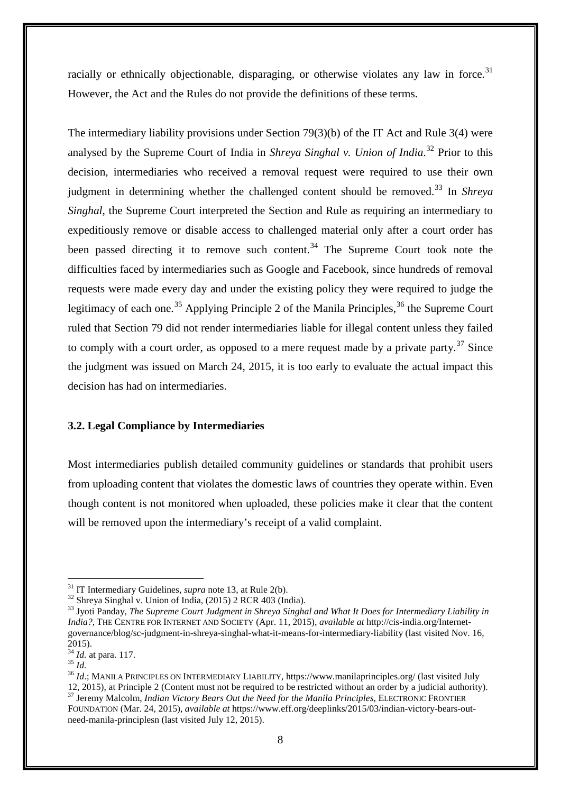racially or ethnically objectionable, disparaging, or otherwise violates any law in force.<sup>[31](#page-7-0)</sup> However, the Act and the Rules do not provide the definitions of these terms.

The intermediary liability provisions under Section 79(3)(b) of the IT Act and Rule 3(4) were analysed by the Supreme Court of India in *Shreya Singhal v. Union of India*. [32](#page-7-1) Prior to this decision, intermediaries who received a removal request were required to use their own judgment in determining whether the challenged content should be removed. [33](#page-7-2) In *Shreya Singhal*, the Supreme Court interpreted the Section and Rule as requiring an intermediary to expeditiously remove or disable access to challenged material only after a court order has been passed directing it to remove such content.<sup>[34](#page-7-3)</sup> The Supreme Court took note the difficulties faced by intermediaries such as Google and Facebook, since hundreds of removal requests were made every day and under the existing policy they were required to judge the legitimacy of each one.<sup>[35](#page-7-4)</sup> Applying Principle 2 of the Manila Principles,<sup>[36](#page-7-5)</sup> the Supreme Court ruled that Section 79 did not render intermediaries liable for illegal content unless they failed to comply with a court order, as opposed to a mere request made by a private party.<sup>[37](#page-7-6)</sup> Since the judgment was issued on March 24, 2015, it is too early to evaluate the actual impact this decision has had on intermediaries.

#### **3.2. Legal Compliance by Intermediaries**

Most intermediaries publish detailed community guidelines or standards that prohibit users from uploading content that violates the domestic laws of countries they operate within. Even though content is not monitored when uploaded, these policies make it clear that the content will be removed upon the intermediary's receipt of a valid complaint.

 $31$  IT Intermediary Guidelines, *supra* note 13, at Rule 2(b).

<span id="page-7-2"></span><span id="page-7-1"></span><span id="page-7-0"></span> $32$  Shreya Singhal v. Union of India, (2015) 2 RCR 403 (India).<br> $33$  Jyoti Panday, *The Supreme Court Judgment in Shreya Singhal and What It Does for Intermediary Liability in India?*, THE CENTRE FOR INTERNET AND SOCIETY (Apr. 11, 2015), *available at* http://cis-india.org/Internetgovernance/blog/sc-judgment-in-shreya-singhal-what-it-means-for-intermediary-liability (last visited Nov. 16, 2015).<br> $^{34}$  *Id.* at para. 117.<br> $^{35}$  *Id.* 

<span id="page-7-3"></span>

<span id="page-7-5"></span><span id="page-7-4"></span><sup>&</sup>lt;sup>36</sup> *Id.*; MANILA PRINCIPLES ON INTERMEDIARY LIABILITY, https://www.manilaprinciples.org/ (last visited July 12, 2015), at Principle 2 (Content must not be required to be restricted without an order by a judicial authorit <sup>37</sup> Jeremy Malcolm, *Indian Victory Bears Out the Need for the Manila Principles*, ELECTRONIC FRONTIER

<span id="page-7-6"></span>FOUNDATION (Mar. 24, 2015), *available at* https://www.eff.org/deeplinks/2015/03/indian-victory-bears-outneed-manila-principlesn (last visited July 12, 2015).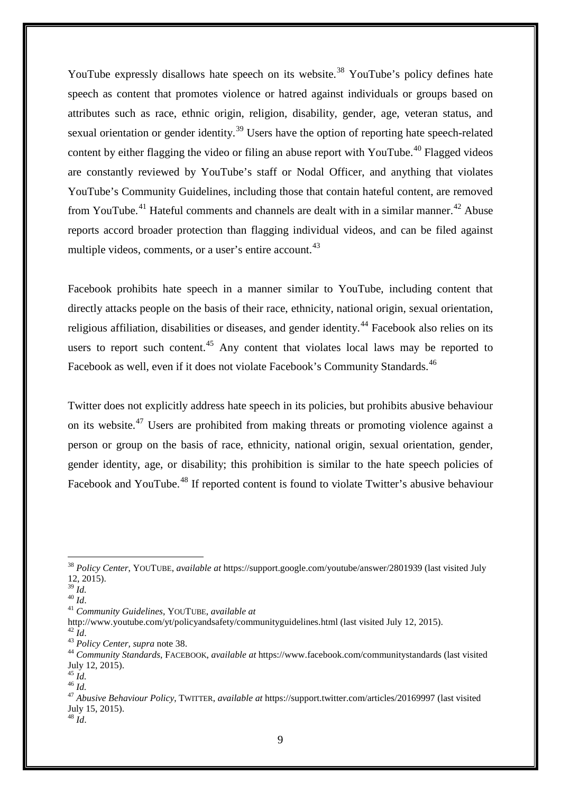YouTube expressly disallows hate speech on its website.<sup>[38](#page-8-0)</sup> YouTube's policy defines hate speech as content that promotes violence or hatred against individuals or groups based on attributes such as race, ethnic origin, religion, disability, gender, age, veteran status, and sexual orientation or gender identity.<sup>[39](#page-8-1)</sup> Users have the option of reporting hate speech-related content by either flagging the video or filing an abuse report with YouTube.<sup>[40](#page-8-2)</sup> Flagged videos are constantly reviewed by YouTube's staff or Nodal Officer, and anything that violates YouTube's Community Guidelines, including those that contain hateful content, are removed from YouTube.<sup>[41](#page-8-3)</sup> Hateful comments and channels are dealt with in a similar manner.<sup>[42](#page-8-4)</sup> Abuse reports accord broader protection than flagging individual videos, and can be filed against multiple videos, comments, or a user's entire account.<sup>[43](#page-8-5)</sup>

Facebook prohibits hate speech in a manner similar to YouTube, including content that directly attacks people on the basis of their race, ethnicity, national origin, sexual orientation, religious affiliation, disabilities or diseases, and gender identity.<sup>[44](#page-8-6)</sup> Facebook also relies on its users to report such content.<sup>[45](#page-8-7)</sup> Any content that violates local laws may be reported to Facebook as well, even if it does not violate Facebook's Community Standards.<sup>46</sup>

Twitter does not explicitly address hate speech in its policies, but prohibits abusive behaviour on its website.<sup>[47](#page-8-9)</sup> Users are prohibited from making threats or promoting violence against a person or group on the basis of race, ethnicity, national origin, sexual orientation, gender, gender identity, age, or disability; this prohibition is similar to the hate speech policies of Facebook and YouTube.<sup>[48](#page-8-10)</sup> If reported content is found to violate Twitter's abusive behaviour

<span id="page-8-0"></span><sup>38</sup> *Policy Center*, YOUTUBE, *available at* https://support.google.com/youtube/answer/2801939 (last visited July 12, 2015).<br> $^{39}$  *Id.* 

<span id="page-8-2"></span><span id="page-8-1"></span><sup>39</sup> *Id.* <sup>40</sup> *Id*. <sup>41</sup> *Community Guidelines*, YOUTUBE, *available at*

<span id="page-8-5"></span>

<span id="page-8-6"></span>

<span id="page-8-4"></span><span id="page-8-3"></span>http://www.youtube.com/yt/policyandsafety/communityguidelines.html (last visited July 12, 2015).<br><sup>42</sup> Id.<br><sup>43</sup> Policy Center, supra note 38.<br><sup>44</sup> Community Standards, FACEBOOK, available at https://www.facebook.com/communi July 12, 2015). <sup>45</sup> *Id.* <sup>46</sup> *Id.* <sup>47</sup> *Abusive Behaviour Policy*, TWITTER, *available at* https://support.twitter.com/articles/20169997 (last visited

<span id="page-8-7"></span>

<span id="page-8-8"></span>

<span id="page-8-9"></span>July 15, 2015).

<span id="page-8-10"></span> $^{48}$  *Id.*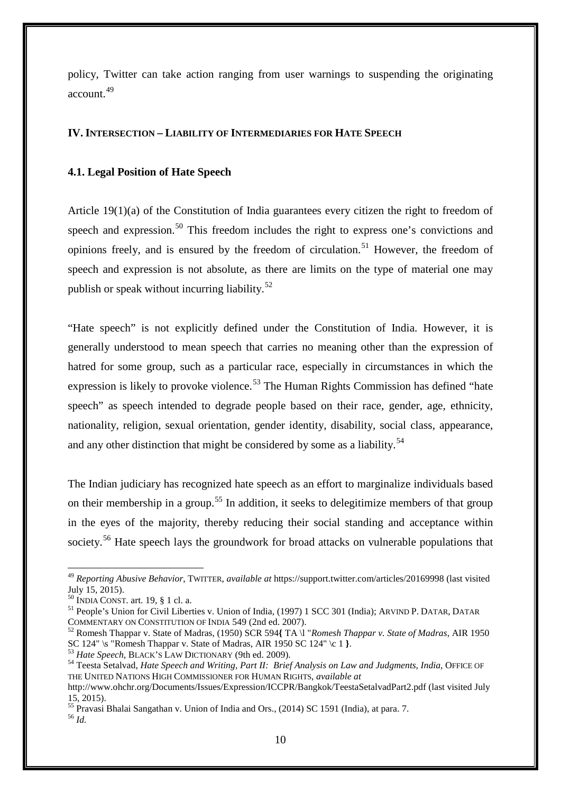policy, Twitter can take action ranging from user warnings to suspending the originating account.[49](#page-9-0) 

## **IV. INTERSECTION – LIABILITY OF INTERMEDIARIES FOR HATE SPEECH**

#### **4.1. Legal Position of Hate Speech**

Article 19(1)(a) of the Constitution of India guarantees every citizen the right to freedom of speech and expression.<sup>[50](#page-9-1)</sup> This freedom includes the right to express one's convictions and opinions freely, and is ensured by the freedom of circulation.<sup>[51](#page-9-2)</sup> However, the freedom of speech and expression is not absolute, as there are limits on the type of material one may publish or speak without incurring liability.<sup>[52](#page-9-3)</sup>

"Hate speech" is not explicitly defined under the Constitution of India. However, it is generally understood to mean speech that carries no meaning other than the expression of hatred for some group, such as a particular race, especially in circumstances in which the expression is likely to provoke violence.<sup>[53](#page-9-4)</sup> The Human Rights Commission has defined "hate speech" as speech intended to degrade people based on their race, gender, age, ethnicity, nationality, religion, sexual orientation, gender identity, disability, social class, appearance, and any other distinction that might be considered by some as a liability.<sup>[54](#page-9-5)</sup>

The Indian judiciary has recognized hate speech as an effort to marginalize individuals based on their membership in a group.<sup>[55](#page-9-6)</sup> In addition, it seeks to delegitimize members of that group in the eyes of the majority, thereby reducing their social standing and acceptance within society.<sup>[56](#page-9-7)</sup> Hate speech lays the groundwork for broad attacks on vulnerable populations that

<sup>49</sup> *Reporting Abusive Behavior*, TWITTER, *available at* https://support.twitter.com/articles/20169998 (last visited July 15, 2015).

<span id="page-9-1"></span><span id="page-9-0"></span><sup>&</sup>lt;sup>50</sup> INDIA CONST. art. 19, § 1 cl. a.<br><sup>51</sup> People's Union for Civil Liberties v. Union of India, (1997) 1 SCC 301 (India); ARVIND P. DATAR, DATAR<br>COMMENTARY ON CONSTITUTION OF INDIA 549 (2nd ed. 2007).

<span id="page-9-2"></span><sup>&</sup>lt;sup>52</sup> Romesh Thappar v. State of Madras, (1950) SCR 594{ TA \l "*Romesh Thappar v. State of Madras*, AIR 1950 SC 124" \c 1}.

<span id="page-9-5"></span><span id="page-9-4"></span><span id="page-9-3"></span> $^{53}$  Hate Speech, BLACK'S LAW DICTIONARY (9th ed. 2009).<br><sup>54</sup> Teesta Setalvad, *Hate Speech and Writing, Part II: Brief Analysis on Law and Judgments, India, OFFICE OF* THE UNITED NATIONS HIGH COMMISSIONER FOR HUMAN RIGHTS, *available at*

http://www.ohchr.org/Documents/Issues/Expression/ICCPR/Bangkok/TeestaSetalvadPart2.pdf (last visited July 15, 2015).

<span id="page-9-7"></span><span id="page-9-6"></span><sup>55</sup> Pravasi Bhalai Sangathan v. Union of India and Ors., (2014) SC 1591 (India), at para. 7. <sup>56</sup> *Id.*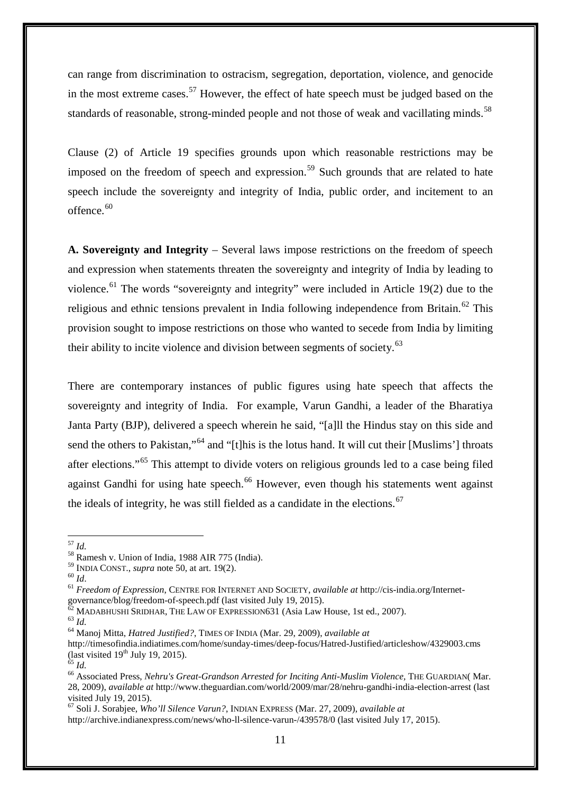can range from discrimination to ostracism, segregation, deportation, violence, and genocide in the most extreme cases.<sup>[57](#page-10-0)</sup> However, the effect of hate speech must be judged based on the standards of reasonable, strong-minded people and not those of weak and vacillating minds.<sup>[58](#page-10-1)</sup>

Clause (2) of Article 19 specifies grounds upon which reasonable restrictions may be imposed on the freedom of speech and expression.<sup>[59](#page-10-2)</sup> Such grounds that are related to hate speech include the sovereignty and integrity of India, public order, and incitement to an offence. $60$ 

**A. Sovereignty and Integrity** – Several laws impose restrictions on the freedom of speech and expression when statements threaten the sovereignty and integrity of India by leading to violence.<sup>[61](#page-10-4)</sup> The words "sovereignty and integrity" were included in Article 19(2) due to the religious and ethnic tensions prevalent in India following independence from Britain.<sup>[62](#page-10-5)</sup> This provision sought to impose restrictions on those who wanted to secede from India by limiting their ability to incite violence and division between segments of society.<sup>[63](#page-10-6)</sup>

There are contemporary instances of public figures using hate speech that affects the sovereignty and integrity of India. For example, Varun Gandhi, a leader of the Bharatiya Janta Party (BJP), delivered a speech wherein he said, "[a]ll the Hindus stay on this side and send the others to Pakistan,"<sup>[64](#page-10-7)</sup> and "[t]his is the lotus hand. It will cut their [Muslims'] throats after elections."[65](#page-10-8) This attempt to divide voters on religious grounds led to a case being filed against Gandhi for using hate speech.<sup>[66](#page-10-9)</sup> However, even though his statements went against the ideals of integrity, he was still fielded as a candidate in the elections.<sup>[67](#page-10-10)</sup>

<span id="page-10-1"></span><sup>58</sup> Ramesh v. Union of India, 1988 AIR 775 (India).<br><sup>59</sup> INDIA CONST., *supra* note 50, at art. 19(2).<br><sup>60</sup> Id.<br><sup>61</sup> Freedom of Expression, CENTRE FOR INTERNET AND SOCIETY, *available at* http://cis-india.org/Internet-

<span id="page-10-6"></span>

<sup>67</sup> Soli J. Sorabjee, *Who'll Silence Varun?*, INDIAN EXPRESS (Mar. 27, 2009), *available at*

<span id="page-10-0"></span> $^{57}$   $\mathit{Id}.$ 

<span id="page-10-3"></span><span id="page-10-2"></span>

<span id="page-10-5"></span><span id="page-10-4"></span>governance/blog/freedom-of-speech.pdf (last visited July 19, 2015).<br>
<sup>62</sup> MADABHUSHI SRIDHAR, THE LAW OF EXPRESSION631 (Asia Law House, 1st ed., 2007).<br>
<sup>63</sup> *Id.*<br>
<sup>64</sup> Manoj Mitta, *Hatred Justified*?, TIMES OF INDIA (Ma

<span id="page-10-7"></span>http://timesofindia.indiatimes.com/home/sunday-times/deep-focus/Hatred-Justified/articleshow/4329003.cms (last visited 19<sup>th</sup> July 19, 2015).

<span id="page-10-9"></span><span id="page-10-8"></span><sup>&</sup>lt;sup>65</sup> *Id.* 65 *Id.* 65 *Id.* 65 *Id.* 66 *Id.* 66 Associated Press, *Nehru's Great-Grandson Arrested for Inciting Anti-Muslim Violence*, THE GUARDIAN( Mar. 28, 2009), *available at* http://www.theguardian.com/world/2009/mar/28/nehru-gandhi-india-election-arrest (last visited July 19, 2015).

<span id="page-10-10"></span>http://archive.indianexpress.com/news/who-ll-silence-varun-/439578/0 (last visited July 17, 2015).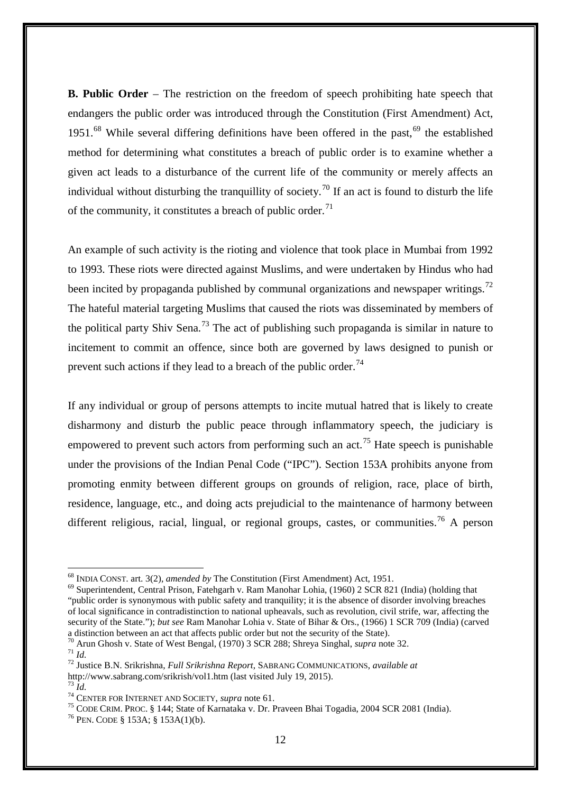**B. Public Order** – The restriction on the freedom of speech prohibiting hate speech that endangers the public order was introduced through the Constitution (First Amendment) Act, 1951.<sup>[68](#page-11-0)</sup> While several differing definitions have been offered in the past,  $69$  the established method for determining what constitutes a breach of public order is to examine whether a given act leads to a disturbance of the current life of the community or merely affects an individual without disturbing the tranquillity of society.<sup>[70](#page-11-2)</sup> If an act is found to disturb the life of the community, it constitutes a breach of public order.<sup>[71](#page-11-3)</sup>

An example of such activity is the rioting and violence that took place in Mumbai from 1992 to 1993. These riots were directed against Muslims, and were undertaken by Hindus who had been incited by propaganda published by communal organizations and newspaper writings.<sup>[72](#page-11-4)</sup> The hateful material targeting Muslims that caused the riots was disseminated by members of the political party Shiv Sena.<sup>[73](#page-11-5)</sup> The act of publishing such propaganda is similar in nature to incitement to commit an offence, since both are governed by laws designed to punish or prevent such actions if they lead to a breach of the public order.<sup>[74](#page-11-6)</sup>

If any individual or group of persons attempts to incite mutual hatred that is likely to create disharmony and disturb the public peace through inflammatory speech, the judiciary is empowered to prevent such actors from performing such an act.<sup>[75](#page-11-7)</sup> Hate speech is punishable under the provisions of the Indian Penal Code ("IPC"). Section 153A prohibits anyone from promoting enmity between different groups on grounds of religion, race, place of birth, residence, language, etc., and doing acts prejudicial to the maintenance of harmony between different religious, racial, lingual, or regional groups, castes, or communities.<sup>[76](#page-11-8)</sup> A person

<span id="page-11-0"></span> $^{68}$  INDIA CONST. art. 3(2), amended by The Constitution (First Amendment) Act, 1951.

<span id="page-11-1"></span><sup>&</sup>lt;sup>69</sup> Superintendent, Central Prison, Fatehgarh v. Ram Manohar Lohia, (1960) 2 SCR 821 (India) (holding that "public order is synonymous with public safety and tranquility; it is the absence of disorder involving breaches of local significance in contradistinction to national upheavals, such as revolution, civil strife, war, affecting the security of the State."); *but see* Ram Manohar Lohia v. State of Bihar & Ors., (1966) 1 SCR 709 (India) (carved a distinction between an act that affects public order but not the security of the State).<br><sup>70</sup> Arun Ghosh v. State of West Bengal, (1970) 3 SCR 288; Shreya Singhal, *supra* note 32.

<span id="page-11-4"></span><span id="page-11-3"></span><span id="page-11-2"></span><sup>70</sup> Arun Ghosh v. State of West Bengal, (1970) 3 SCR 288; Shreya Singhal, *supra* note 32. <sup>71</sup> *Id.* <sup>72</sup> Justice B.N. Srikrishna, *Full Srikrishna Report*, SABRANG COMMUNICATIONS, *available at* http://www.sabrang.com/srikrish/vol1.htm (last visited July 19, 2015).

<span id="page-11-7"></span><span id="page-11-6"></span><span id="page-11-5"></span><sup>&</sup>lt;sup>74</sup> CENTER FOR INTERNET AND SOCIETY, *supra* note 61.<br><sup>75</sup> CODE CRIM. PROC. § 144; State of Karnataka v. Dr. Praveen Bhai Togadia, 2004 SCR 2081 (India).<br><sup>76</sup> PEN. CODE § 153A; § 153A(1)(b).

<span id="page-11-8"></span>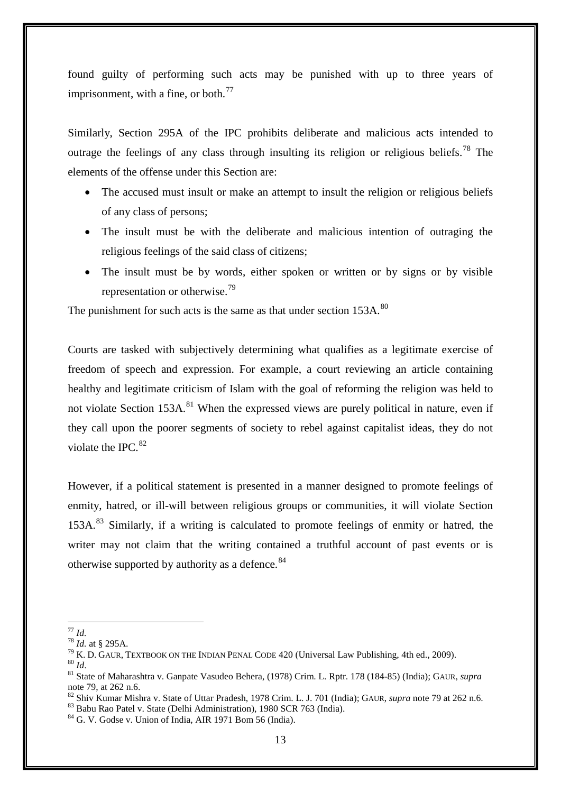found guilty of performing such acts may be punished with up to three years of imprisonment, with a fine, or both. $^{77}$  $^{77}$  $^{77}$ 

Similarly, Section 295A of the IPC prohibits deliberate and malicious acts intended to outrage the feelings of any class through insulting its religion or religious beliefs.<sup>[78](#page-12-1)</sup> The elements of the offense under this Section are:

- The accused must insult or make an attempt to insult the religion or religious beliefs of any class of persons;
- The insult must be with the deliberate and malicious intention of outraging the religious feelings of the said class of citizens;
- The insult must be by words, either spoken or written or by signs or by visible representation or otherwise.[79](#page-12-2)

The punishment for such acts is the same as that under section 153A.<sup>[80](#page-12-3)</sup>

Courts are tasked with subjectively determining what qualifies as a legitimate exercise of freedom of speech and expression. For example, a court reviewing an article containing healthy and legitimate criticism of Islam with the goal of reforming the religion was held to not violate Section  $153A$ <sup>[81](#page-12-4)</sup>. When the expressed views are purely political in nature, even if they call upon the poorer segments of society to rebel against capitalist ideas, they do not violate the IPC. [82](#page-12-5)

However, if a political statement is presented in a manner designed to promote feelings of enmity, hatred, or ill-will between religious groups or communities, it will violate Section 153A.<sup>[83](#page-12-6)</sup> Similarly, if a writing is calculated to promote feelings of enmity or hatred, the writer may not claim that the writing contained a truthful account of past events or is otherwise supported by authority as a defence.<sup>[84](#page-12-7)</sup>

 $77$  Id.

<span id="page-12-4"></span><span id="page-12-3"></span>

<span id="page-12-2"></span><span id="page-12-1"></span><span id="page-12-0"></span><sup>&</sup>lt;sup>78</sup> *Id.* at § 295A.<br><sup>79</sup> K. D. GAUR, TEXTBOOK ON THE INDIAN PENAL CODE 420 (Universal Law Publishing, 4th ed., 2009).<br><sup>80</sup> *Id.*<br><sup>81</sup> State of Maharashtra v. Ganpate Vasudeo Behera, (1978) Crim. L. Rptr. 178 (184-85) (I note 79, at 262 n.6.<br><sup>82</sup> Shiv Kumar Mishra v. State of Uttar Pradesh, 1978 Crim. L. J. 701 (India); GAUR, *supra* note 79 at 262 n.6.<br><sup>83</sup> Babu Rao Patel v. State (Delhi Administration), 1980 SCR 763 (India).<br><sup>84</sup> G. V. G

<span id="page-12-5"></span>

<span id="page-12-6"></span>

<span id="page-12-7"></span>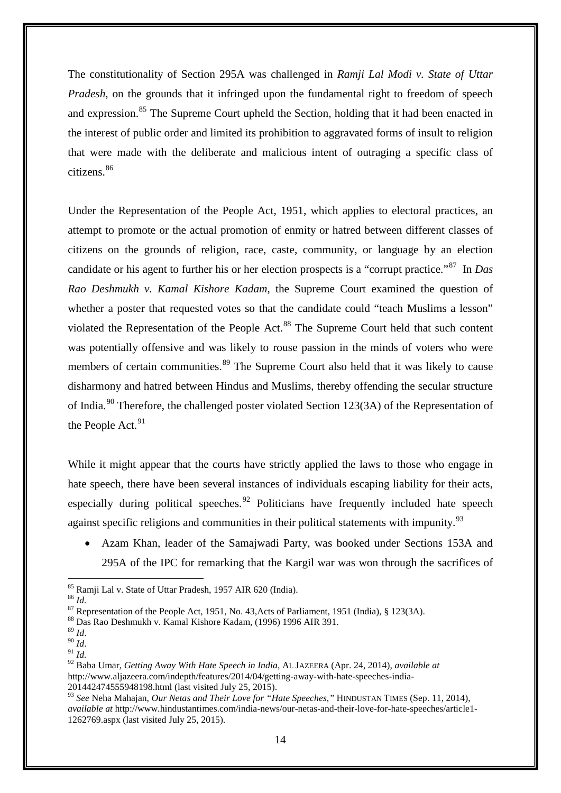The constitutionality of Section 295A was challenged in *Ramji Lal Modi v. State of Uttar Pradesh*, on the grounds that it infringed upon the fundamental right to freedom of speech and expression.<sup>[85](#page-13-0)</sup> The Supreme Court upheld the Section, holding that it had been enacted in the interest of public order and limited its prohibition to aggravated forms of insult to religion that were made with the deliberate and malicious intent of outraging a specific class of citizens. [86](#page-13-1)

Under the Representation of the People Act, 1951, which applies to electoral practices, an attempt to promote or the actual promotion of enmity or hatred between different classes of citizens on the grounds of religion, race, caste, community, or language by an election candidate or his agent to further his or her election prospects is a "corrupt practice."[87](#page-13-2) In *Das Rao Deshmukh v. Kamal Kishore Kadam*, the Supreme Court examined the question of whether a poster that requested votes so that the candidate could "teach Muslims a lesson" violated the Representation of the People Act.<sup>[88](#page-13-3)</sup> The Supreme Court held that such content was potentially offensive and was likely to rouse passion in the minds of voters who were members of certain communities.<sup>[89](#page-13-4)</sup> The Supreme Court also held that it was likely to cause disharmony and hatred between Hindus and Muslims, thereby offending the secular structure of India.<sup>[90](#page-13-5)</sup> Therefore, the challenged poster violated Section 123(3A) of the Representation of the People Act.<sup>[91](#page-13-6)</sup>

While it might appear that the courts have strictly applied the laws to those who engage in hate speech, there have been several instances of individuals escaping liability for their acts, especially during political speeches.<sup>[92](#page-13-7)</sup> Politicians have frequently included hate speech against specific religions and communities in their political statements with impunity.<sup>[93](#page-13-8)</sup>

• Azam Khan, leader of the Samajwadi Party, was booked under Sections 153A and 295A of the IPC for remarking that the Kargil war was won through the sacrifices of

<sup>&</sup>lt;sup>85</sup> Ramji Lal v. State of Uttar Pradesh, 1957 AIR 620 (India).

<span id="page-13-2"></span><span id="page-13-1"></span><span id="page-13-0"></span><sup>&</sup>lt;sup>86</sup> *Id.*<br><sup>87</sup> Representation of the People Act, 1951, No. 43, Acts of Parliament, 1951 (India), § 123(3A).<br><sup>88</sup> Das Rao Deshmukh v. Kamal Kishore Kadam, (1996) 1996 AIR 391.<br><sup>89</sup> *Id* 

<span id="page-13-3"></span>

<span id="page-13-5"></span><span id="page-13-4"></span><sup>89</sup> *Id*. 90 *Id*. 91 *Id.*

<span id="page-13-7"></span><span id="page-13-6"></span><sup>92</sup> Baba Umar, *Getting Away With Hate Speech in India*, AL JAZEERA (Apr. 24, 2014), *available at* http://www.aljazeera.com/indepth/features/2014/04/getting-away-with-hate-speeches-india-201442474555948198.html (last visited July 25, 2015).

<span id="page-13-8"></span><sup>93</sup> *See* Neha Mahajan, *Our Netas and Their Love for "Hate Speeches,"* HINDUSTAN TIMES (Sep. 11, 2014), *available at* http://www.hindustantimes.com/india-news/our-netas-and-their-love-for-hate-speeches/article1- 1262769.aspx (last visited July 25, 2015).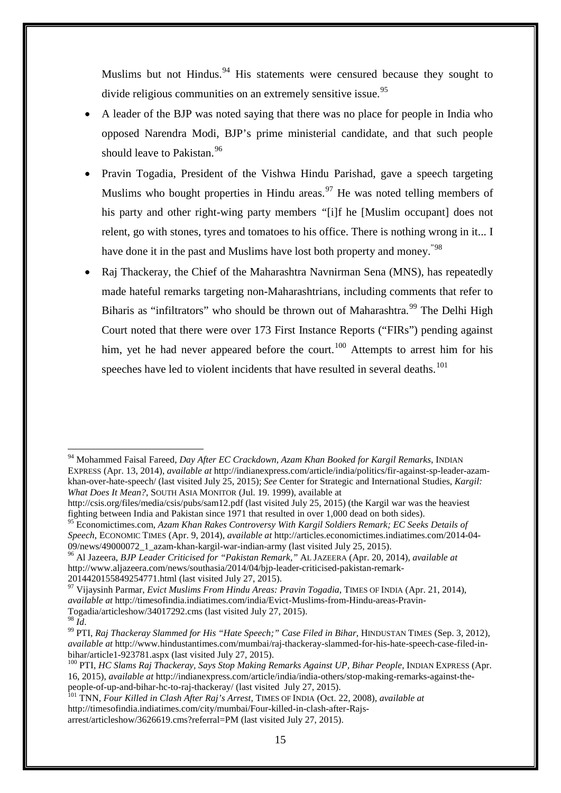Muslims but not Hindus.<sup>[94](#page-14-0)</sup> His statements were censured because they sought to divide religious communities on an extremely sensitive issue.<sup>[95](#page-14-1)</sup>

- A leader of the BJP was noted saying that there was no place for people in India who opposed Narendra Modi, BJP's prime ministerial candidate, and that such people should leave to Pakistan.<sup>[96](#page-14-2)</sup>
- Pravin Togadia, President of the Vishwa Hindu Parishad, gave a speech targeting Muslims who bought properties in Hindu areas.<sup>[97](#page-14-3)</sup> He was noted telling members of his party and other right-wing party members *"*[i]f he [Muslim occupant] does not relent, go with stones, tyres and tomatoes to his office. There is nothing wrong in it... I have done it in the past and Muslims have lost both property and money.<sup>"[98](#page-14-4)</sup>
- Raj Thackeray, the Chief of the Maharashtra Navnirman Sena (MNS), has repeatedly made hateful remarks targeting non-Maharashtrians, including comments that refer to Biharis as "infiltrators" who should be thrown out of Maharashtra.<sup>[99](#page-14-5)</sup> The Delhi High Court noted that there were over 173 First Instance Reports ("FIRs") pending against him, yet he had never appeared before the court.<sup>[100](#page-14-6)</sup> Attempts to arrest him for his speeches have led to violent incidents that have resulted in several deaths.<sup>[101](#page-14-7)</sup>

<span id="page-14-0"></span><sup>94</sup> Mohammed Faisal Fareed, *Day After EC Crackdown, Azam Khan Booked for Kargil Remarks*, INDIAN EXPRESS (Apr. 13, 2014), *available at* http://indianexpress.com/article/india/politics/fir-against-sp-leader-azamkhan-over-hate-speech/ (last visited July 25, 2015); *See* Center for Strategic and International Studies, *Kargil: What Does It Mean?*, SOUTH ASIA MONITOR (Jul. 19. 1999), available at

http://csis.org/files/media/csis/pubs/sam12.pdf (last visited July 25, 2015) (the Kargil war was the heaviest fighting between India and Pakistan since 1971 that resulted in over 1,000 dead on both sides).

<span id="page-14-1"></span><sup>95</sup> Economictimes.com, *Azam Khan Rakes Controversy With Kargil Soldiers Remark; EC Seeks Details of Speech*, ECONOMIC TIMES (Apr. 9, 2014), *available at* http://articles.economictimes.indiatimes.com/2014-04-

<span id="page-14-2"></span><sup>&</sup>lt;sup>96</sup> Al Jazeera, *BJP Leader Criticised for "Pakistan Remark*," AL JAZEERA (Apr. 20, 2014), *available at* http://www.aljazeera.com/news/southasia/2014/04/bjp-leader-criticised-pakistan-remark-2014420155849254771.html (last visited July 27, 2015). <sup>97</sup> Vijaysinh Parmar, *Evict Muslims From Hindu Areas: Pravin Togadia*, TIMES OF INDIA (Apr. 21, 2014),

<span id="page-14-3"></span>*available at* http://timesofindia.indiatimes.com/india/Evict-Muslims-from-Hindu-areas-Pravin-Togadia/articleshow/34017292.cms (last visited July 27, 2015).

<span id="page-14-5"></span><span id="page-14-4"></span><sup>&</sup>lt;sup>99</sup> PTI, *Raj Thackeray Slammed for His "Hate Speech;" Case Filed in Bihar*, HINDUSTAN TIMES (Sep. 3, 2012), *available at* http://www.hindustantimes.com/mumbai/raj-thackeray-slammed-for-his-hate-speech-case-filed-in-

<span id="page-14-6"></span><sup>&</sup>lt;sup>100</sup> PTI, *HC Slams Raj Thackeray, Says Stop Making Remarks Against UP, Bihar People*, INDIAN EXPRESS (Apr. 16, 2015), *available at* http://indianexpress.com/article/india/india-others/stop-making-remarks-against-thepeople-of-up-and-bihar-hc-to-raj-thackeray/ (last visited July 27, 2015). <sup>101</sup> TNN, *Four Killed in Clash After Raj's Arrest*, TIMES OF INDIA (Oct. 22, 2008), *available at*

<span id="page-14-7"></span>http://timesofindia.indiatimes.com/city/mumbai/Four-killed-in-clash-after-Rajsarrest/articleshow/3626619.cms?referral=PM (last visited July 27, 2015).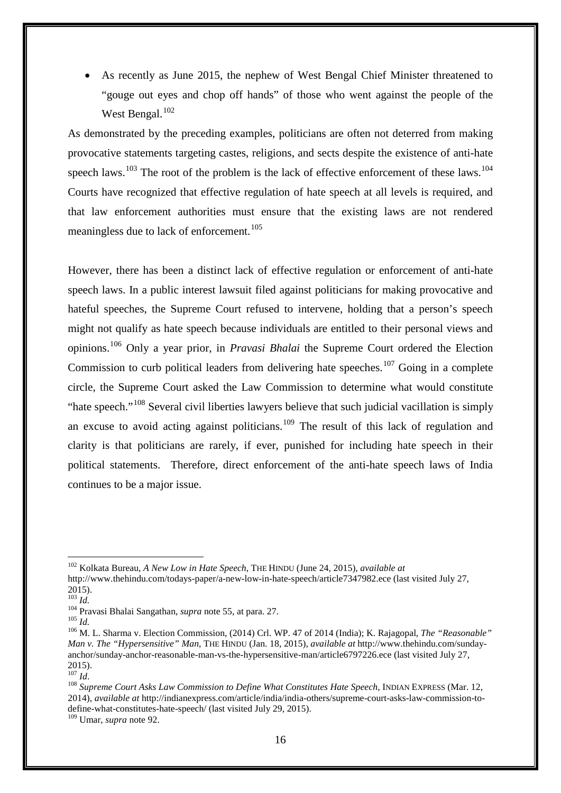As recently as June 2015, the nephew of West Bengal Chief Minister threatened to "gouge out eyes and chop off hands" of those who went against the people of the West Bengal.<sup>[102](#page-15-0)</sup>

As demonstrated by the preceding examples, politicians are often not deterred from making provocative statements targeting castes, religions, and sects despite the existence of anti-hate speech laws.<sup>[103](#page-15-1)</sup> The root of the problem is the lack of effective enforcement of these laws.<sup>[104](#page-15-2)</sup> Courts have recognized that effective regulation of hate speech at all levels is required, and that law enforcement authorities must ensure that the existing laws are not rendered meaningless due to lack of enforcement.<sup>[105](#page-15-3)</sup>

However, there has been a distinct lack of effective regulation or enforcement of anti-hate speech laws. In a public interest lawsuit filed against politicians for making provocative and hateful speeches, the Supreme Court refused to intervene, holding that a person's speech might not qualify as hate speech because individuals are entitled to their personal views and opinions. [106](#page-15-4) Only a year prior, in *Pravasi Bhalai* the Supreme Court ordered the Election Commission to curb political leaders from delivering hate speeches.<sup>[107](#page-15-5)</sup> Going in a complete circle, the Supreme Court asked the Law Commission to determine what would constitute "hate speech."<sup>[108](#page-15-6)</sup> Several civil liberties lawyers believe that such judicial vacillation is simply an excuse to avoid acting against politicians.<sup>[109](#page-15-7)</sup> The result of this lack of regulation and clarity is that politicians are rarely, if ever, punished for including hate speech in their political statements. Therefore, direct enforcement of the anti-hate speech laws of India continues to be a major issue.

<span id="page-15-0"></span><sup>102</sup> Kolkata Bureau, *A New Low in Hate Speech*, THE HINDU (June 24, 2015), *available at*

http://www.thehindu.com/todays-paper/a-new-low-in-hate-speech/article7347982.ece (last visited July 27,  $^{2015)}$ .<br> $^{103}$  *Id.* 

<span id="page-15-4"></span>

<span id="page-15-3"></span><span id="page-15-2"></span><span id="page-15-1"></span><sup>104</sup> Pravasi Bhalai Sangathan, *supra* note 55, at para. 27.<br><sup>105</sup> *Id.* 105 *Id.* 106 M. L. Sharma v. Election Commission, (2014) Crl. WP. 47 of 2014 (India); K. Rajagopal, *The "Reasonable" Man v. The "Hypersensitive" Man*, THE HINDU (Jan. 18, 2015), *available at* http://www.thehindu.com/sundayanchor/sunday-anchor-reasonable-man-vs-the-hypersensitive-man/article6797226.ece (last visited July 27,  $^{2015)}$ .<br> $^{107}$  *Id*.

<span id="page-15-6"></span><span id="page-15-5"></span><sup>&</sup>lt;sup>108</sup> *Supreme Court Asks Law Commission to Define What Constitutes Hate Speech*, INDIAN EXPRESS (Mar. 12, 2014), *available at* http://indianexpress.com/article/india/india-others/supreme-court-asks-law-commission-todefine-what-constitutes-hate-speech/ (last visited July 29, 2015). <sup>109</sup> Umar, *supra* note 92.

<span id="page-15-7"></span>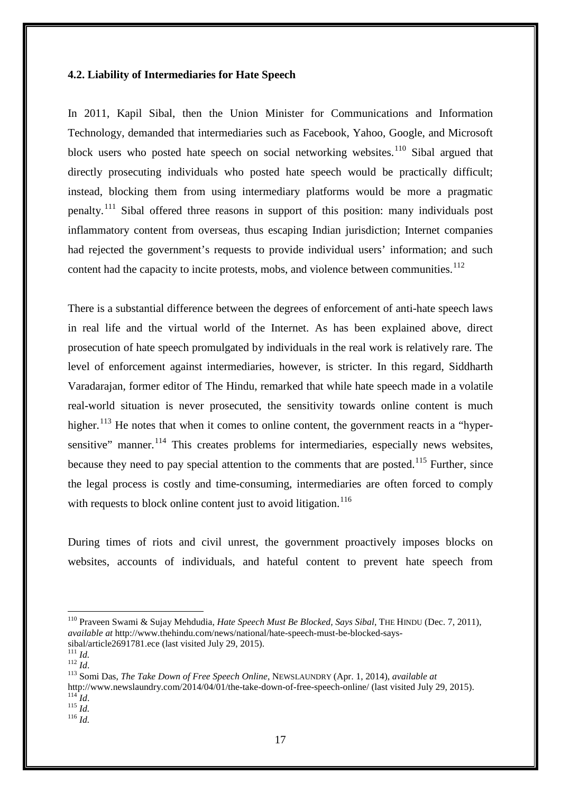#### **4.2. Liability of Intermediaries for Hate Speech**

In 2011, Kapil Sibal, then the Union Minister for Communications and Information Technology, demanded that intermediaries such as Facebook, Yahoo, Google, and Microsoft block users who posted hate speech on social networking websites.<sup>[110](#page-16-0)</sup> Sibal argued that directly prosecuting individuals who posted hate speech would be practically difficult; instead, blocking them from using intermediary platforms would be more a pragmatic penalty.<sup>[111](#page-16-1)</sup> Sibal offered three reasons in support of this position: many individuals post inflammatory content from overseas, thus escaping Indian jurisdiction; Internet companies had rejected the government's requests to provide individual users' information; and such content had the capacity to incite protests, mobs, and violence between communities.<sup>[112](#page-16-2)</sup>

There is a substantial difference between the degrees of enforcement of anti-hate speech laws in real life and the virtual world of the Internet. As has been explained above, direct prosecution of hate speech promulgated by individuals in the real work is relatively rare. The level of enforcement against intermediaries, however, is stricter. In this regard, Siddharth Varadarajan, former editor of The Hindu, remarked that while hate speech made in a volatile real-world situation is never prosecuted, the sensitivity towards online content is much higher.<sup>[113](#page-16-3)</sup> He notes that when it comes to online content, the government reacts in a "hyper-sensitive" manner.<sup>[114](#page-16-4)</sup> This creates problems for intermediaries, especially news websites, because they need to pay special attention to the comments that are posted.<sup>[115](#page-16-5)</sup> Further, since the legal process is costly and time-consuming, intermediaries are often forced to comply with requests to block online content just to avoid litigation.<sup>[116](#page-16-6)</sup>

During times of riots and civil unrest, the government proactively imposes blocks on websites, accounts of individuals, and hateful content to prevent hate speech from

<span id="page-16-0"></span><sup>110</sup> Praveen Swami & Sujay Mehdudia, *Hate Speech Must Be Blocked, Says Sibal*, THE HINDU (Dec. 7, 2011), *available at* http://www.thehindu.com/news/national/hate-speech-must-be-blocked-says-

<span id="page-16-3"></span>

<span id="page-16-2"></span><span id="page-16-1"></span>sibal/article2691781.ece (last visited July 29, 2015). <sup>111</sup> *Id.* <sup>112</sup> *Id*. <sup>113</sup> Somi Das, *The Take Down of Free Speech Online*, NEWSLAUNDRY (Apr. 1, 2014), *available at* http://www.newslaundry.com/2014/04/01/the-take-down-of-free-speech-online/ (last visited July 29, 2015). <sup>114</sup> *Id*. <sup>115</sup> *Id.* <sup>116</sup> *Id.*

<span id="page-16-6"></span><span id="page-16-5"></span><span id="page-16-4"></span>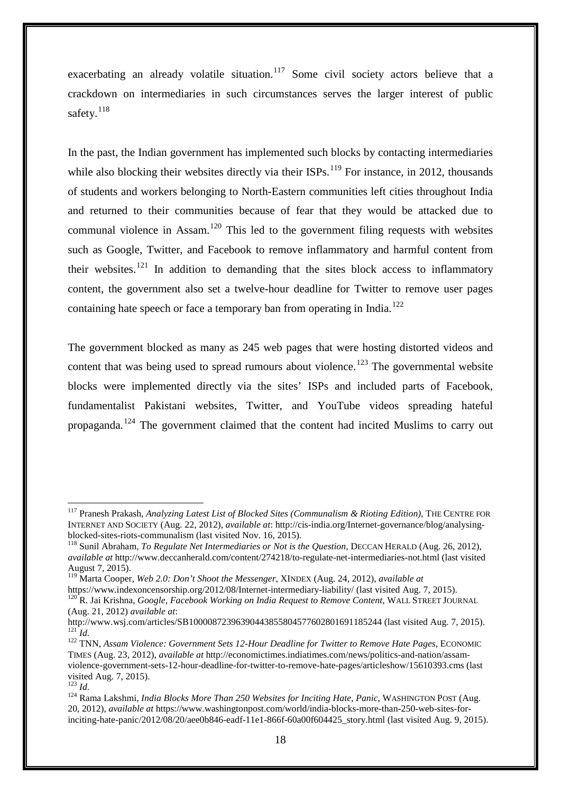exacerbating an already volatile situation.<sup>[117](#page-17-0)</sup> Some civil society actors believe that a crackdown on intermediaries in such circumstances serves the larger interest of public safety. $118$ 

In the past, the Indian government has implemented such blocks by contacting intermediaries while also blocking their websites directly via their  $ISPs$ .<sup>[119](#page-17-2)</sup> For instance, in 2012, thousands of students and workers belonging to North-Eastern communities left cities throughout India and returned to their communities because of fear that they would be attacked due to communal violence in Assam.<sup>[120](#page-17-3)</sup> This led to the government filing requests with websites such as Google, Twitter, and Facebook to remove inflammatory and harmful content from their websites.<sup>[121](#page-17-4)</sup> In addition to demanding that the sites block access to inflammatory content, the government also set a twelve-hour deadline for Twitter to remove user pages containing hate speech or face a temporary ban from operating in India.<sup>[122](#page-17-5)</sup>

The government blocked as many as 245 web pages that were hosting distorted videos and content that was being used to spread rumours about violence.<sup>[123](#page-17-6)</sup> The governmental website blocks were implemented directly via the sites' ISPs and included parts of Facebook, fundamentalist Pakistani websites, Twitter, and YouTube videos spreading hateful propaganda.[124](#page-17-7) The government claimed that the content had incited Muslims to carry out

<span id="page-17-0"></span><sup>117</sup> Pranesh Prakash, *Analyzing Latest List of Blocked Sites (Communalism & Rioting Edition)*, THE CENTRE FOR INTERNET AND SOCIETY (Aug. 22, 2012), *available at*: http://cis-india.org/Internet-governance/blog/analysingblocked-sites-riots-communalism (last visited Nov. 16, 2015). <sup>118</sup> Sunil Abraham, *To Regulate Net Intermediaries or Not is the Question*, DECCAN HERALD (Aug. 26, 2012),

<span id="page-17-1"></span>*available at* http://www.deccanherald.com/content/274218/to-regulate-net-intermediaries-not.html (last visited August 7, 2015).

<span id="page-17-2"></span><sup>119</sup> Marta Cooper, *Web 2.0: Don't Shoot the Messenger*, XINDEX (Aug. 24, 2012), *available at*

<span id="page-17-3"></span><sup>&</sup>lt;sup>120</sup> R. Jai Krishna, *Google, Facebook Working on India Request to Remove Content*, WALL STREET JOURNAL (Aug. 21, 2012) *available at*:

<span id="page-17-4"></span>http://<sub>I21</sub><sup>121</sup>Id.<br><sup>122</sup> TNN, Assam Violence: Government Sets 12-Hour Deadline for Twitter to Remove Hate Pages, ECONOMIC

<span id="page-17-5"></span>TIMES (Aug. 23, 2012), *available at* http://economictimes.indiatimes.com/news/politics-and-nation/assamviolence-government-sets-12-hour-deadline-for-twitter-to-remove-hate-pages/articleshow/15610393.cms (last

<span id="page-17-7"></span><span id="page-17-6"></span><sup>&</sup>lt;sup>123</sup> *Id.* 124 *Id.* 124 *Id.* 124 Rama Lakshmi, *India Blocks More Than 250 Websites for Inciting Hate, Panic, WASHINGTON POST (Aug.* 124 Rama Lakshmi, *India Blocks More Than 250 Websites for Inciting Hate, Panic, WASHI* 20, 2012), *available at* https://www.washingtonpost.com/world/india-blocks-more-than-250-web-sites-forinciting-hate-panic/2012/08/20/aee0b846-eadf-11e1-866f-60a00f604425\_story.html (last visited Aug. 9, 2015).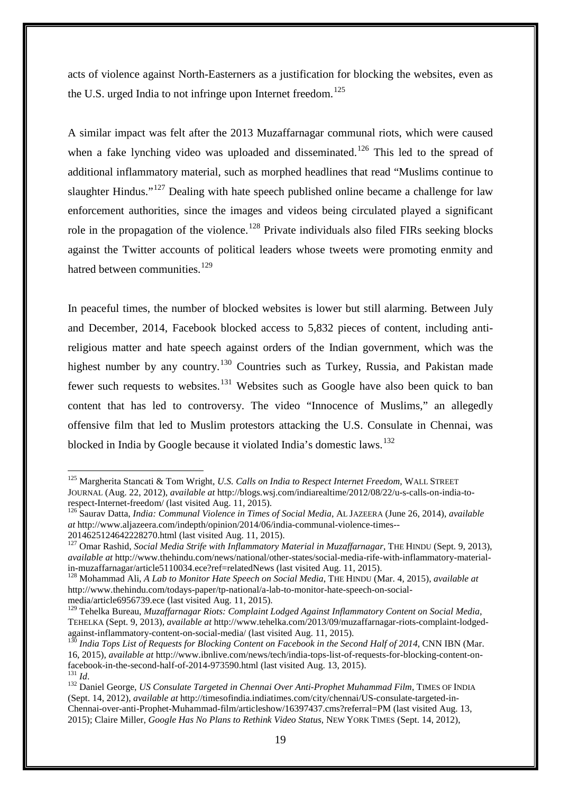acts of violence against North-Easterners as a justification for blocking the websites, even as the U.S. urged India to not infringe upon Internet freedom.<sup>[125](#page-18-0)</sup>

A similar impact was felt after the 2013 Muzaffarnagar communal riots, which were caused when a fake lynching video was uploaded and disseminated.<sup>[126](#page-18-1)</sup> This led to the spread of additional inflammatory material, such as morphed headlines that read "Muslims continue to slaughter Hindus."<sup>[127](#page-18-2)</sup> Dealing with hate speech published online became a challenge for law enforcement authorities, since the images and videos being circulated played a significant role in the propagation of the violence.<sup>[128](#page-18-3)</sup> Private individuals also filed FIRs seeking blocks against the Twitter accounts of political leaders whose tweets were promoting enmity and hatred between communities.<sup>[129](#page-18-4)</sup>

In peaceful times, the number of blocked websites is lower but still alarming. Between July and December, 2014, Facebook blocked access to 5,832 pieces of content, including antireligious matter and hate speech against orders of the Indian government, which was the highest number by any country.<sup>[130](#page-18-5)</sup> Countries such as Turkey, Russia, and Pakistan made fewer such requests to websites.<sup>[131](#page-18-6)</sup> Websites such as Google have also been quick to ban content that has led to controversy. The video "Innocence of Muslims," an allegedly offensive film that led to Muslim protestors attacking the U.S. Consulate in Chennai, was blocked in India by Google because it violated India's domestic laws.<sup>[132](#page-18-7)</sup>

<span id="page-18-0"></span><sup>125</sup> Margherita Stancati & Tom Wright, *U.S. Calls on India to Respect Internet Freedom*, WALL STREET JOURNAL (Aug. 22, 2012), *available at* http://blogs.wsj.com/indiarealtime/2012/08/22/u-s-calls-on-india-torespect-Internet-freedom/ (last visited Aug. 11, 2015).<br><sup>126</sup> Saurav Datta, *India: Communal Violence in Times of Social Media*, AL JAZEERA (June 26, 2014), *available* <u>.</u>

<span id="page-18-1"></span>*at* http://www.aljazeera.com/indepth/opinion/2014/06/india-communal-violence-times--

<span id="page-18-2"></span><sup>2014625124642228270.</sup>html (last visited Aug. 11, 2015).<br><sup>127</sup> Omar Rashid, *Social Media Strife with Inflammatory Material in Muzaffarnagar*, THE HINDU (Sept. 9, 2013), *available at* http://www.thehindu.com/news/national/other-states/social-media-rife-with-inflammatory-materialin-muzaffarnagar/article5110034.ece?ref=relatedNews (last visited Aug. 11, 2015). <sup>128</sup> Mohammad Ali, *A Lab to Monitor Hate Speech on Social Media*, THE HINDU (Mar. 4, 2015), *available at*

<span id="page-18-3"></span>http://www.thehindu.com/todays-paper/tp-national/a-lab-to-monitor-hate-speech-on-socialmedia/article6956739.ece (last visited Aug. 11, 2015).

<span id="page-18-4"></span><sup>129</sup> Tehelka Bureau, *Muzaffarnagar Riots: Complaint Lodged Against Inflammatory Content on Social Media*, TEHELKA (Sept. 9, 2013), *available at* http://www.tehelka.com/2013/09/muzaffarnagar-riots-complaint-lodged-

<span id="page-18-5"></span><sup>&</sup>lt;sup>130</sup> India Tops List of Requests for Blocking Content on Facebook in the Second Half of 2014, CNN IBN (Mar. 16, 2015), *available at* http://www.ibnlive.com/news/tech/india-tops-list-of-requests-for-blocking-content-onfacebook-in-the-second-half-of-2014-973590.html (last visited Aug. 13, 2015).<br><sup>131</sup> *Id.* 132 Daniel George, *US Consulate Targeted in Chennai Over Anti-Prophet Muhammad Film*, TIMES OF INDIA

<span id="page-18-7"></span><span id="page-18-6"></span><sup>(</sup>Sept. 14, 2012), *available at* http://timesofindia.indiatimes.com/city/chennai/US-consulate-targeted-in-Chennai-over-anti-Prophet-Muhammad-film/articleshow/16397437.cms?referral=PM (last visited Aug. 13, 2015); Claire Miller, *Google Has No Plans to Rethink Video Status*, NEW YORK TIMES (Sept. 14, 2012),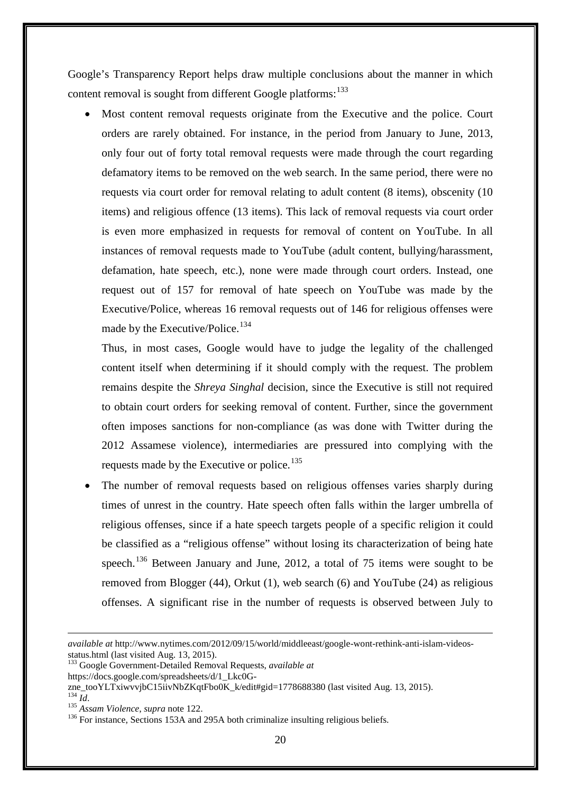Google's Transparency Report helps draw multiple conclusions about the manner in which content removal is sought from different Google platforms:<sup>[133](#page-19-0)</sup>

Most content removal requests originate from the Executive and the police. Court orders are rarely obtained. For instance, in the period from January to June, 2013, only four out of forty total removal requests were made through the court regarding defamatory items to be removed on the web search. In the same period, there were no requests via court order for removal relating to adult content (8 items), obscenity (10 items) and religious offence (13 items). This lack of removal requests via court order is even more emphasized in requests for removal of content on YouTube. In all instances of removal requests made to YouTube (adult content, bullying/harassment, defamation, hate speech, etc.), none were made through court orders. Instead, one request out of 157 for removal of hate speech on YouTube was made by the Executive/Police, whereas 16 removal requests out of 146 for religious offenses were made by the Executive/Police.<sup>[134](#page-19-1)</sup>

Thus, in most cases, Google would have to judge the legality of the challenged content itself when determining if it should comply with the request. The problem remains despite the *Shreya Singhal* decision, since the Executive is still not required to obtain court orders for seeking removal of content. Further, since the government often imposes sanctions for non-compliance (as was done with Twitter during the 2012 Assamese violence), intermediaries are pressured into complying with the requests made by the Executive or police.<sup>[135](#page-19-2)</sup>

The number of removal requests based on religious offenses varies sharply during times of unrest in the country. Hate speech often falls within the larger umbrella of religious offenses, since if a hate speech targets people of a specific religion it could be classified as a "religious offense" without losing its characterization of being hate speech.<sup>[136](#page-19-3)</sup> Between January and June, 2012, a total of 75 items were sought to be removed from Blogger (44), Orkut (1), web search (6) and YouTube (24) as religious offenses. A significant rise in the number of requests is observed between July to

*available at* http://www.nytimes.com/2012/09/15/world/middleeast/google-wont-rethink-anti-islam-videosstatus.html (last visited Aug. 13, 2015).<br><sup>133</sup> Google Government-Detailed Removal Requests, *available at* 

<span id="page-19-0"></span>https://docs.google.com/spreadsheets/d/1\_Lkc0G-

<span id="page-19-1"></span>zne\_tooYLTxiwvvjbC15iivNbZKqtFbo0K\_k/edit#gid=1778688380 (last visited Aug. 13, 2015). $^{134}$   $^{1}H\;$ 

<span id="page-19-3"></span>

<span id="page-19-2"></span><sup>&</sup>lt;sup>135</sup> *Assam Violence*, *supra* note 122.<br><sup>136</sup> For instance, Sections 153A and 295A both criminalize insulting religious beliefs.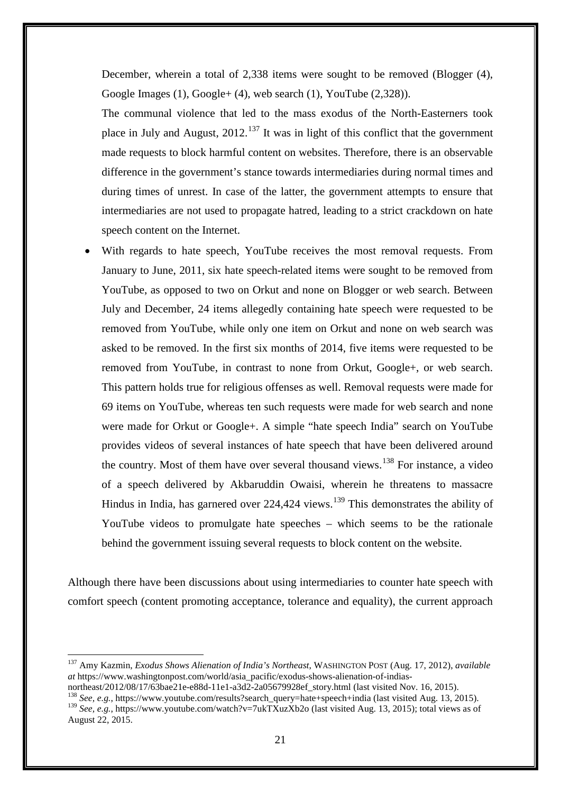December, wherein a total of 2,338 items were sought to be removed (Blogger (4), Google Images (1), Google+ (4), web search (1), YouTube (2,328)).

The communal violence that led to the mass exodus of the North-Easterners took place in July and August,  $2012$ <sup>[137](#page-20-0)</sup> It was in light of this conflict that the government made requests to block harmful content on websites. Therefore, there is an observable difference in the government's stance towards intermediaries during normal times and during times of unrest. In case of the latter, the government attempts to ensure that intermediaries are not used to propagate hatred, leading to a strict crackdown on hate speech content on the Internet.

With regards to hate speech, YouTube receives the most removal requests. From January to June, 2011, six hate speech-related items were sought to be removed from YouTube, as opposed to two on Orkut and none on Blogger or web search. Between July and December, 24 items allegedly containing hate speech were requested to be removed from YouTube, while only one item on Orkut and none on web search was asked to be removed. In the first six months of 2014, five items were requested to be removed from YouTube, in contrast to none from Orkut, Google+, or web search. This pattern holds true for religious offenses as well. Removal requests were made for 69 items on YouTube, whereas ten such requests were made for web search and none were made for Orkut or Google+. A simple "hate speech India" search on YouTube provides videos of several instances of hate speech that have been delivered around the country. Most of them have over several thousand views.<sup>[138](#page-20-1)</sup> For instance, a video of a speech delivered by Akbaruddin Owaisi, wherein he threatens to massacre Hindus in India, has garnered over  $224,424$  views.<sup>[139](#page-20-2)</sup> This demonstrates the ability of YouTube videos to promulgate hate speeches – which seems to be the rationale behind the government issuing several requests to block content on the website.

Although there have been discussions about using intermediaries to counter hate speech with comfort speech (content promoting acceptance, tolerance and equality), the current approach

-

<span id="page-20-2"></span><span id="page-20-1"></span><sup>138</sup> See, e.g., https://www.youtube.com/results?search\_query=hate+speech+india (last visited Aug. 13, 2015). <sup>139</sup> *See, e.g.*, https://www.youtube.com/watch?v=7ukTXuzXb2o (last visited Aug. 13, 2015); total views as of August 22, 2015.

<span id="page-20-0"></span><sup>137</sup> Amy Kazmin, *Exodus Shows Alienation of India's Northeast*, WASHINGTON POST (Aug. 17, 2012), *available at* https://www.washingtonpost.com/world/asia\_pacific/exodus-shows-alienation-of-indias-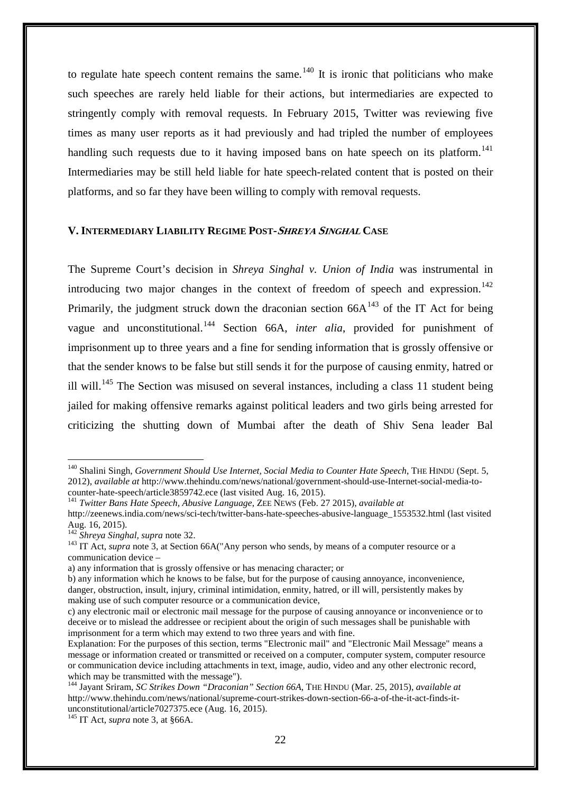to regulate hate speech content remains the same.<sup>[140](#page-21-0)</sup> It is ironic that politicians who make such speeches are rarely held liable for their actions, but intermediaries are expected to stringently comply with removal requests. In February 2015, Twitter was reviewing five times as many user reports as it had previously and had tripled the number of employees handling such requests due to it having imposed bans on hate speech on its platform.<sup>[141](#page-21-1)</sup> Intermediaries may be still held liable for hate speech-related content that is posted on their platforms, and so far they have been willing to comply with removal requests.

#### **V. INTERMEDIARY LIABILITY REGIME POST-SHREYA SINGHAL CASE**

The Supreme Court's decision in *Shreya Singhal v. Union of India* was instrumental in introducing two major changes in the context of freedom of speech and expression.<sup>[142](#page-21-2)</sup> Primarily, the judgment struck down the draconian section  $66A^{143}$  $66A^{143}$  $66A^{143}$  of the IT Act for being vague and unconstitutional.[144](#page-21-4) Section 66A, *inter alia*, provided for punishment of imprisonment up to three years and a fine for sending information that is grossly offensive or that the sender knows to be false but still sends it for the purpose of causing enmity, hatred or ill will.<sup>[145](#page-21-5)</sup> The Section was misused on several instances, including a class 11 student being jailed for making offensive remarks against political leaders and two girls being arrested for criticizing the shutting down of Mumbai after the death of Shiv Sena leader Bal

<span id="page-21-0"></span><sup>&</sup>lt;sup>140</sup> Shalini Singh, *Government Should Use Internet, Social Media to Counter Hate Speech*, THE HINDU (Sept. 5, 2012), *available at* http://www.thehindu.com/news/national/government-should-use-Internet-social-media-tocounter-hate-speech/article3859742.ece (last visited Aug. 16, 2015). <sup>141</sup> *Twitter Bans Hate Speech, Abusive Language*, ZEE NEWS (Feb. 27 2015), *available at*

<span id="page-21-1"></span>http://zeenews.india.com/news/sci-tech/twitter-bans-hate-speeches-abusive-language\_1553532.html (last visited Aug. 16, 2015).<br>
<sup>142</sup> Shreya Singhal, supra note 32.

<span id="page-21-3"></span><span id="page-21-2"></span>Aug. 16, 2015). <sup>142</sup> *Shreya Singhal, supra* note 32. <sup>143</sup> IT Act, *supra* note 3, at Section 66A("Any person who sends, by means of a computer resource or a communication device –

a) any information that is grossly offensive or has menacing character; or

b) any information which he knows to be false, but for the purpose of causing annoyance, inconvenience, danger, obstruction, insult, injury, criminal intimidation, enmity, hatred, or ill will, persistently makes by making use of such computer resource or a communication device,

c) any electronic mail or electronic mail message for the purpose of causing annoyance or inconvenience or to deceive or to mislead the addressee or recipient about the origin of such messages shall be punishable with imprisonment for a term which may extend to two three years and with fine.

Explanation: For the purposes of this section, terms "Electronic mail" and "Electronic Mail Message" means a message or information created or transmitted or received on a computer, computer system, computer resource or communication device including attachments in text, image, audio, video and any other electronic record, which may be transmitted with the message").

<span id="page-21-4"></span><sup>144</sup> Jayant Sriram, *SC Strikes Down "Draconian" Section 66A*, THE HINDU (Mar. 25, 2015), *available at* http://www.thehindu.com/news/national/supreme-court-strikes-down-section-66-a-of-the-it-act-finds-itunconstitutional/article7027375.ece (Aug. 16, 2015).

<span id="page-21-5"></span> $145$  IT Act, *supra* note 3, at §66A.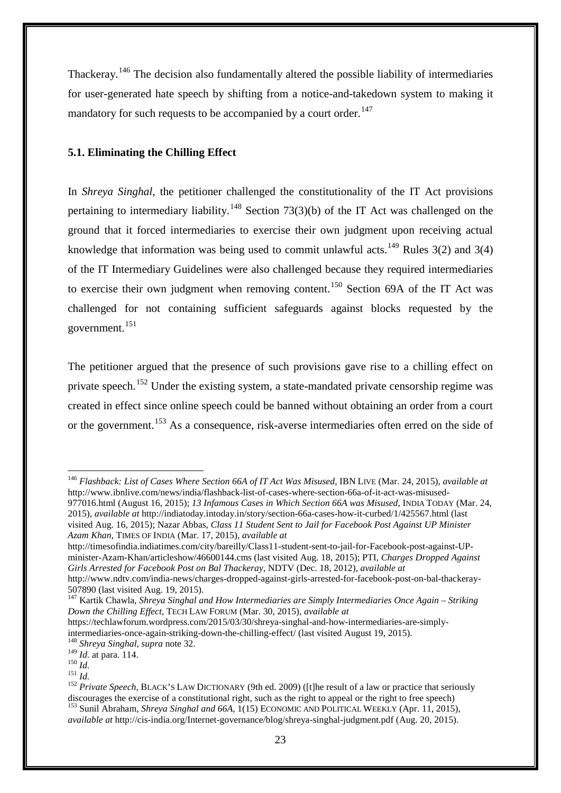Thackeray.<sup>[146](#page-22-0)</sup> The decision also fundamentally altered the possible liability of intermediaries for user-generated hate speech by shifting from a notice-and-takedown system to making it mandatory for such requests to be accompanied by a court order.<sup>[147](#page-22-1)</sup>

### **5.1. Eliminating the Chilling Effect**

In *Shreya Singhal*, the petitioner challenged the constitutionality of the IT Act provisions pertaining to intermediary liability.<sup>[148](#page-22-2)</sup> Section 73(3)(b) of the IT Act was challenged on the ground that it forced intermediaries to exercise their own judgment upon receiving actual knowledge that information was being used to commit unlawful acts.<sup>[149](#page-22-3)</sup> Rules 3(2) and 3(4) of the IT Intermediary Guidelines were also challenged because they required intermediaries to exercise their own judgment when removing content.<sup>[150](#page-22-4)</sup> Section 69A of the IT Act was challenged for not containing sufficient safeguards against blocks requested by the government.[151](#page-22-5)

The petitioner argued that the presence of such provisions gave rise to a chilling effect on private speech.<sup>[152](#page-22-6)</sup> Under the existing system, a state-mandated private censorship regime was created in effect since online speech could be banned without obtaining an order from a court or the government.<sup>[153](#page-22-7)</sup> As a consequence, risk-averse intermediaries often erred on the side of

http://timesofindia.indiatimes.com/city/bareilly/Class11-student-sent-to-jail-for-Facebook-post-against-UPminister-Azam-Khan/articleshow/46600144.cms (last visited Aug. 18, 2015); PTI, *Charges Dropped Against Girls Arrested for Facebook Post on Bal Thackeray*, NDTV (Dec. 18, 2012), *available at* http://www.ndtv.com/india-news/charges-dropped-against-girls-arrested-for-facebook-post-on-bal-thackeray-

<span id="page-22-0"></span><sup>146</sup> *Flashback: List of Cases Where Section 66A of IT Act Was Misused*, IBN LIVE (Mar. 24, 2015), *available at* http://www.ibnlive.com/news/india/flashback-list-of-cases-where-section-66a-of-it-act-was-misused-977016.html (August 16, 2015); *13 Infamous Cases in Which Section 66A was Misused*, INDIA TODAY (Mar. 24,

<sup>2015),</sup> *available at* http://indiatoday.intoday.in/story/section-66a-cases-how-it-curbed/1/425567.html (last visited Aug. 16, 2015); Nazar Abbas, *Class 11 Student Sent to Jail for Facebook Post Against UP Minister Azam Khan*, TIMES OF INDIA (Mar. 17, 2015), *available at*

<sup>507890 (</sup>last visited Aug. 19, 2015).

<span id="page-22-1"></span><sup>147</sup> Kartik Chawla, *Shreya Singhal and How Intermediaries are Simply Intermediaries Once Again – Striking Down the Chilling Effect*, TECH LAW FORUM (Mar. 30, 2015), *available at*

https://techlawforum.wordpress.com/2015/03/30/shreya-singhal-and-how-intermediaries-are-simplyintermediaries-once-again-striking-down-the-chilling-effect/ (last visited August 19, 2015). <sup>148</sup> *Shreya Singhal, supra* note 32.

<span id="page-22-7"></span><span id="page-22-6"></span>

<span id="page-22-5"></span><span id="page-22-4"></span><span id="page-22-3"></span><span id="page-22-2"></span><sup>150</sup> *Id.* at para. 114.<br><sup>150</sup> *Id.*<br><sup>151</sup> *Id.* 151 *Id.* 152 *Private Speech*, BLACK'S LAW DICTIONARY (9th ed. 2009) ([t]he result of a law or practice that seriously discourages the exercise of a constitutional right, such as the right to appeal or the right to free speech) <sup>153</sup> Sunil Abraham, *Shreya Singhal and 66A*,  $\tilde{1}(15)$  ECONOMIC AND POLITICAL WEEKLY (Apr. 11, 2015), *available at* http://cis-india.org/Internet-governance/blog/shreya-singhal-judgment.pdf (Aug. 20, 2015).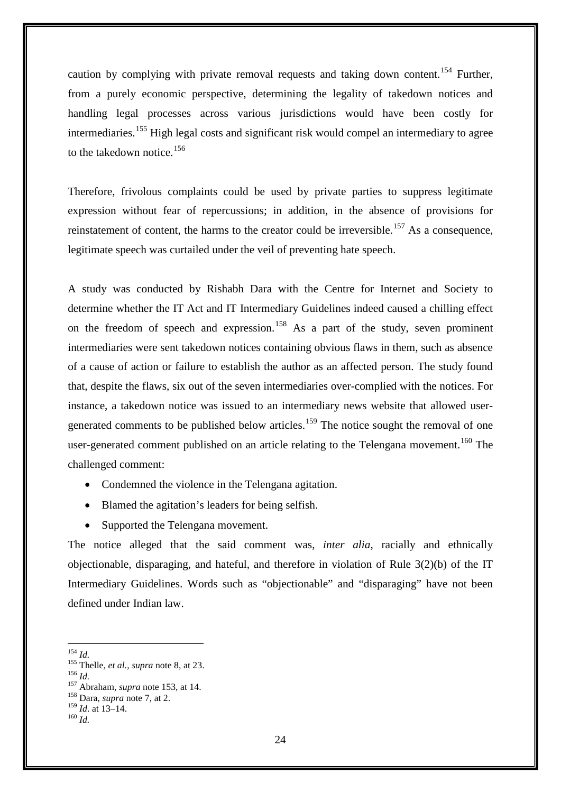caution by complying with private removal requests and taking down content.<sup>[154](#page-23-0)</sup> Further, from a purely economic perspective, determining the legality of takedown notices and handling legal processes across various jurisdictions would have been costly for intermediaries.<sup>[155](#page-23-1)</sup> High legal costs and significant risk would compel an intermediary to agree to the takedown notice.<sup>[156](#page-23-2)</sup>

Therefore, frivolous complaints could be used by private parties to suppress legitimate expression without fear of repercussions; in addition, in the absence of provisions for reinstatement of content, the harms to the creator could be irreversible.<sup>[157](#page-23-3)</sup> As a consequence, legitimate speech was curtailed under the veil of preventing hate speech.

A study was conducted by Rishabh Dara with the Centre for Internet and Society to determine whether the IT Act and IT Intermediary Guidelines indeed caused a chilling effect on the freedom of speech and expression.<sup>[158](#page-23-4)</sup> As a part of the study, seven prominent intermediaries were sent takedown notices containing obvious flaws in them, such as absence of a cause of action or failure to establish the author as an affected person. The study found that, despite the flaws, six out of the seven intermediaries over-complied with the notices. For instance, a takedown notice was issued to an intermediary news website that allowed user-generated comments to be published below articles.<sup>[159](#page-23-5)</sup> The notice sought the removal of one user-generated comment published on an article relating to the Telengana movement.<sup>[160](#page-23-6)</sup> The challenged comment:

- Condemned the violence in the Telengana agitation.
- Blamed the agitation's leaders for being selfish.
- Supported the Telengana movement.

The notice alleged that the said comment was, *inter alia*, racially and ethnically objectionable, disparaging, and hateful, and therefore in violation of Rule 3(2)(b) of the IT Intermediary Guidelines. Words such as "objectionable" and "disparaging" have not been defined under Indian law.

<span id="page-23-0"></span> $^{154}$  Id.

<span id="page-23-2"></span><span id="page-23-1"></span><sup>&</sup>lt;sup>155</sup> Thelle, *et al.*, *supra* note 8, at 23.<br><sup>156</sup> *Id.* <sup>157</sup> Abraham, *supra* note 153, at 14.<br><sup>158</sup> Dara, *supra* note 7, at 2.

<span id="page-23-6"></span><span id="page-23-5"></span><span id="page-23-4"></span><span id="page-23-3"></span><sup>159</sup> *Id*. at 13–14. 160 *Id.*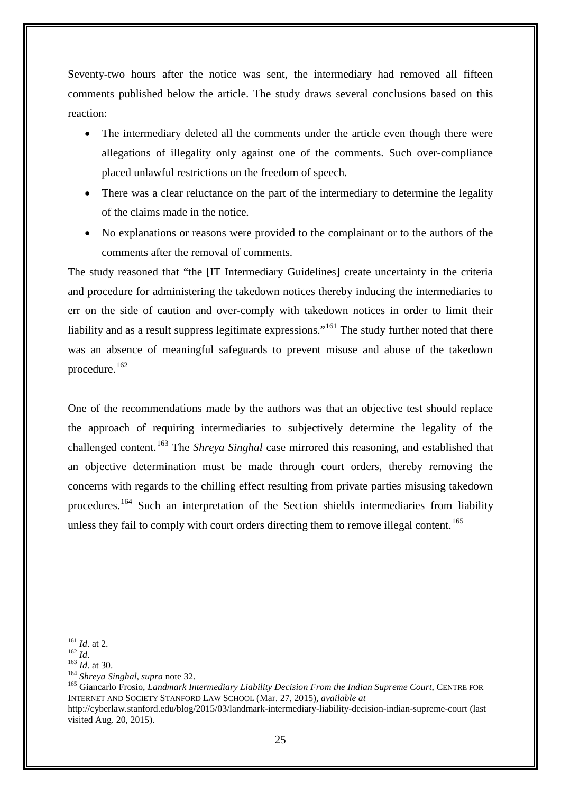Seventy-two hours after the notice was sent, the intermediary had removed all fifteen comments published below the article. The study draws several conclusions based on this reaction:

- The intermediary deleted all the comments under the article even though there were allegations of illegality only against one of the comments. Such over-compliance placed unlawful restrictions on the freedom of speech.
- There was a clear reluctance on the part of the intermediary to determine the legality of the claims made in the notice.
- No explanations or reasons were provided to the complainant or to the authors of the comments after the removal of comments.

The study reasoned that "the [IT Intermediary Guidelines] create uncertainty in the criteria and procedure for administering the takedown notices thereby inducing the intermediaries to err on the side of caution and over-comply with takedown notices in order to limit their liability and as a result suppress legitimate expressions."<sup>[161](#page-24-0)</sup> The study further noted that there was an absence of meaningful safeguards to prevent misuse and abuse of the takedown procedure.[162](#page-24-1)

One of the recommendations made by the authors was that an objective test should replace the approach of requiring intermediaries to subjectively determine the legality of the challenged content.[163](#page-24-2) The *Shreya Singhal* case mirrored this reasoning, and established that an objective determination must be made through court orders, thereby removing the concerns with regards to the chilling effect resulting from private parties misusing takedown procedures.<sup>[164](#page-24-3)</sup> Such an interpretation of the Section shields intermediaries from liability unless they fail to comply with court orders directing them to remove illegal content.<sup>[165](#page-24-4)</sup>

<span id="page-24-2"></span><span id="page-24-1"></span><span id="page-24-0"></span>161 *Id.* at 2.<br><sup>162</sup> *Id.*<br><sup>163</sup> *Id.* at 30.<br><sup>164</sup> *Shreya Singhal, supra* note 32.<br><sup>165</sup> Giancarlo Frosio, *Landmark Intermediary Liability Decision From the Indian Supreme Court*, CENTRE FOR INTERNET AND SOCIETY STANFORD LAW SCHOOL (Mar. 27, 2015), *available at* http://cyberlaw.stanford.edu/blog/2015/03/landmark-intermediary-liability-decision-indian-supreme-court (last visited Aug. 20, 2015).

 $161$  *Id.* at 2.

<span id="page-24-4"></span><span id="page-24-3"></span>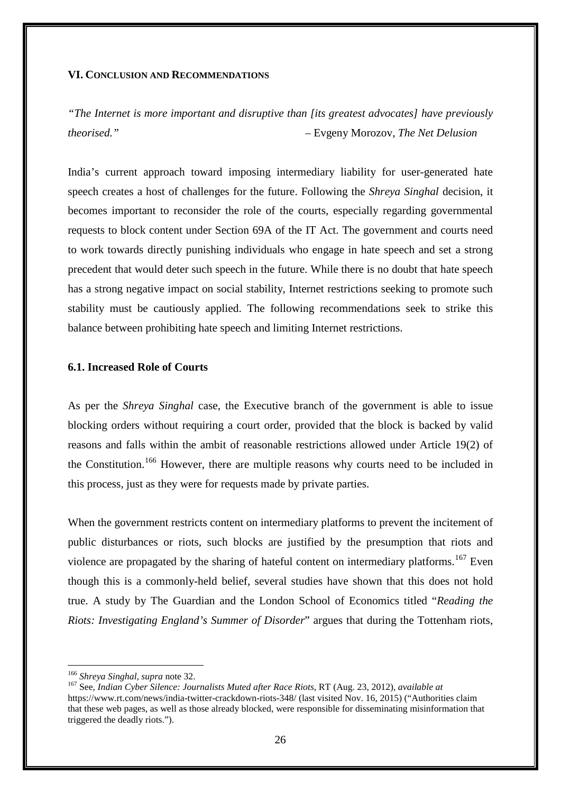#### **VI. CONCLUSION AND RECOMMENDATIONS**

*"The Internet is more important and disruptive than [its greatest advocates] have previously theorised."* – Evgeny Morozov, *The Net Delusion*

India's current approach toward imposing intermediary liability for user-generated hate speech creates a host of challenges for the future. Following the *Shreya Singhal* decision, it becomes important to reconsider the role of the courts, especially regarding governmental requests to block content under Section 69A of the IT Act. The government and courts need to work towards directly punishing individuals who engage in hate speech and set a strong precedent that would deter such speech in the future. While there is no doubt that hate speech has a strong negative impact on social stability, Internet restrictions seeking to promote such stability must be cautiously applied. The following recommendations seek to strike this balance between prohibiting hate speech and limiting Internet restrictions.

#### **6.1. Increased Role of Courts**

As per the *Shreya Singhal* case, the Executive branch of the government is able to issue blocking orders without requiring a court order, provided that the block is backed by valid reasons and falls within the ambit of reasonable restrictions allowed under Article 19(2) of the Constitution.<sup>[166](#page-25-0)</sup> However, there are multiple reasons why courts need to be included in this process, just as they were for requests made by private parties.

When the government restricts content on intermediary platforms to prevent the incitement of public disturbances or riots, such blocks are justified by the presumption that riots and violence are propagated by the sharing of hateful content on intermediary platforms.<sup>[167](#page-25-1)</sup> Even though this is a commonly-held belief, several studies have shown that this does not hold true. A study by The Guardian and the London School of Economics titled "*Reading the Riots: Investigating England's Summer of Disorder*" argues that during the Tottenham riots,

<sup>&</sup>lt;sup>166</sup> Shreva Singhal, supra note 32.

<span id="page-25-1"></span><span id="page-25-0"></span><sup>&</sup>lt;sup>167</sup> See, *Indian Cyber Silence: Journalists Muted after Race Riots*, RT (Aug. 23, 2012), *available at* https://www.rt.com/news/india-twitter-crackdown-riots-348/ (last visited Nov. 16, 2015) ("Authorities claim that these web pages, as well as those already blocked, were responsible for disseminating misinformation that triggered the deadly riots.").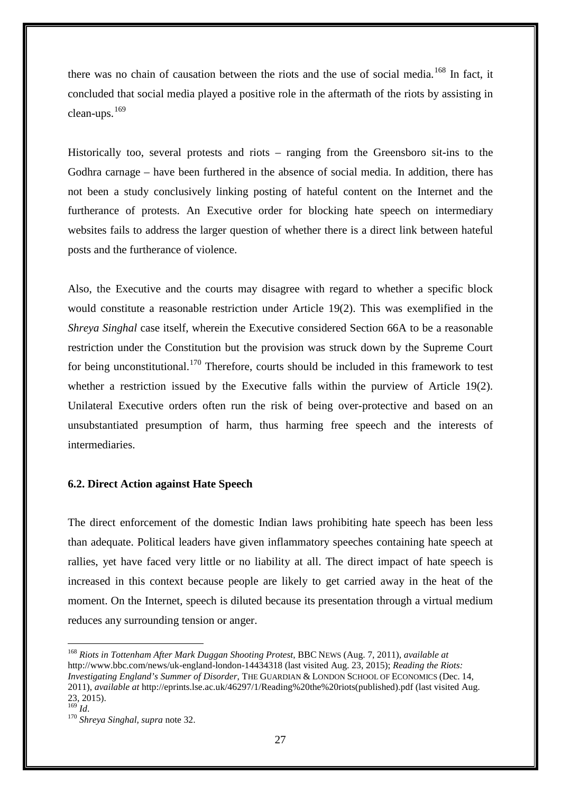there was no chain of causation between the riots and the use of social media.<sup>[168](#page-26-0)</sup> In fact, it concluded that social media played a positive role in the aftermath of the riots by assisting in clean-ups.[169](#page-26-1)

Historically too, several protests and riots – ranging from the Greensboro sit-ins to the Godhra carnage – have been furthered in the absence of social media. In addition, there has not been a study conclusively linking posting of hateful content on the Internet and the furtherance of protests. An Executive order for blocking hate speech on intermediary websites fails to address the larger question of whether there is a direct link between hateful posts and the furtherance of violence.

Also, the Executive and the courts may disagree with regard to whether a specific block would constitute a reasonable restriction under Article 19(2). This was exemplified in the *Shreya Singhal* case itself, wherein the Executive considered Section 66A to be a reasonable restriction under the Constitution but the provision was struck down by the Supreme Court for being unconstitutional.<sup>[170](#page-26-2)</sup> Therefore, courts should be included in this framework to test whether a restriction issued by the Executive falls within the purview of Article 19(2). Unilateral Executive orders often run the risk of being over-protective and based on an unsubstantiated presumption of harm, thus harming free speech and the interests of intermediaries.

#### **6.2. Direct Action against Hate Speech**

The direct enforcement of the domestic Indian laws prohibiting hate speech has been less than adequate. Political leaders have given inflammatory speeches containing hate speech at rallies, yet have faced very little or no liability at all. The direct impact of hate speech is increased in this context because people are likely to get carried away in the heat of the moment. On the Internet, speech is diluted because its presentation through a virtual medium reduces any surrounding tension or anger.

<span id="page-26-0"></span><sup>168</sup> *Riots in Tottenham After Mark Duggan Shooting Protest*, BBC NEWS (Aug. 7, 2011), *available at* http://www.bbc.com/news/uk-england-london-14434318 (last visited Aug. 23, 2015); *Reading the Riots: Investigating England's Summer of Disorder*, THE GUARDIAN & LONDON SCHOOL OF ECONOMICS (Dec. 14, 2011), *available at* http://eprints.lse.ac.uk/46297/1/Reading%20the%20riots(published).pdf (last visited Aug. 23, 2015).<br> $^{169}$  *Id.* <u>.</u>

<span id="page-26-1"></span>

<span id="page-26-2"></span><sup>&</sup>lt;sup>170</sup> Shreya Singhal, supra note 32.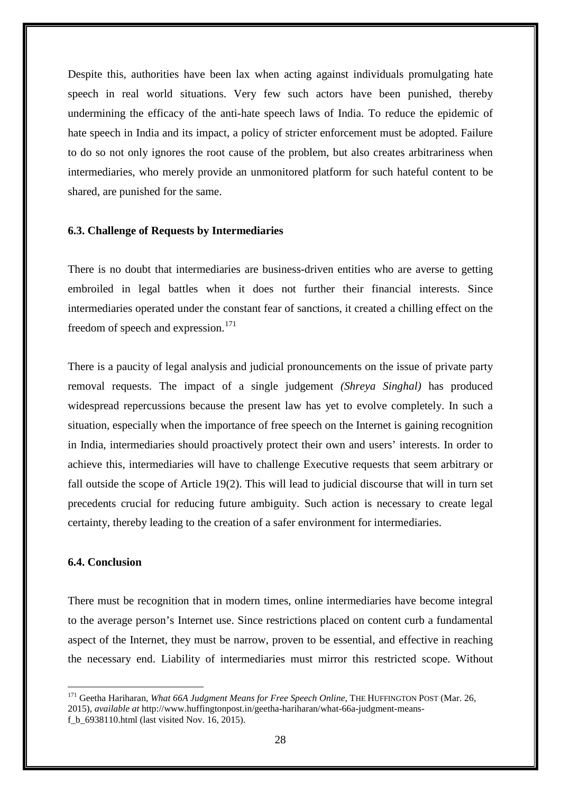Despite this, authorities have been lax when acting against individuals promulgating hate speech in real world situations. Very few such actors have been punished, thereby undermining the efficacy of the anti-hate speech laws of India. To reduce the epidemic of hate speech in India and its impact, a policy of stricter enforcement must be adopted. Failure to do so not only ignores the root cause of the problem, but also creates arbitrariness when intermediaries, who merely provide an unmonitored platform for such hateful content to be shared, are punished for the same.

#### **6.3. Challenge of Requests by Intermediaries**

There is no doubt that intermediaries are business-driven entities who are averse to getting embroiled in legal battles when it does not further their financial interests. Since intermediaries operated under the constant fear of sanctions, it created a chilling effect on the freedom of speech and expression.<sup>[171](#page-27-0)</sup>

There is a paucity of legal analysis and judicial pronouncements on the issue of private party removal requests. The impact of a single judgement *(Shreya Singhal)* has produced widespread repercussions because the present law has yet to evolve completely. In such a situation, especially when the importance of free speech on the Internet is gaining recognition in India, intermediaries should proactively protect their own and users' interests. In order to achieve this, intermediaries will have to challenge Executive requests that seem arbitrary or fall outside the scope of Article 19(2). This will lead to judicial discourse that will in turn set precedents crucial for reducing future ambiguity. Such action is necessary to create legal certainty, thereby leading to the creation of a safer environment for intermediaries.

#### **6.4. Conclusion**

-

There must be recognition that in modern times, online intermediaries have become integral to the average person's Internet use. Since restrictions placed on content curb a fundamental aspect of the Internet, they must be narrow, proven to be essential, and effective in reaching the necessary end. Liability of intermediaries must mirror this restricted scope. Without

<span id="page-27-0"></span><sup>&</sup>lt;sup>171</sup> Geetha Hariharan, *What 66A Judgment Means for Free Speech Online*, THE HUFFINGTON POST (Mar. 26, 2015), *available at* http://www.huffingtonpost.in/geetha-hariharan/what-66a-judgment-meansf\_b\_6938110.html (last visited Nov. 16, 2015).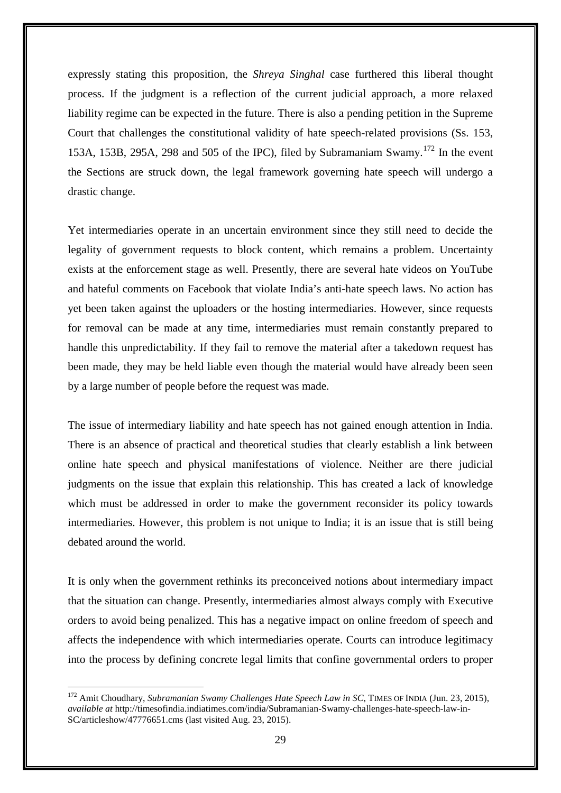expressly stating this proposition, the *Shreya Singhal* case furthered this liberal thought process. If the judgment is a reflection of the current judicial approach, a more relaxed liability regime can be expected in the future. There is also a pending petition in the Supreme Court that challenges the constitutional validity of hate speech-related provisions (Ss. 153, 153A, 153B, 295A, 298 and 505 of the IPC), filed by Subramaniam Swamy.<sup>[172](#page-28-0)</sup> In the event the Sections are struck down, the legal framework governing hate speech will undergo a drastic change.

Yet intermediaries operate in an uncertain environment since they still need to decide the legality of government requests to block content, which remains a problem. Uncertainty exists at the enforcement stage as well. Presently, there are several hate videos on YouTube and hateful comments on Facebook that violate India's anti-hate speech laws. No action has yet been taken against the uploaders or the hosting intermediaries. However, since requests for removal can be made at any time, intermediaries must remain constantly prepared to handle this unpredictability. If they fail to remove the material after a takedown request has been made, they may be held liable even though the material would have already been seen by a large number of people before the request was made.

The issue of intermediary liability and hate speech has not gained enough attention in India. There is an absence of practical and theoretical studies that clearly establish a link between online hate speech and physical manifestations of violence. Neither are there judicial judgments on the issue that explain this relationship. This has created a lack of knowledge which must be addressed in order to make the government reconsider its policy towards intermediaries. However, this problem is not unique to India; it is an issue that is still being debated around the world.

It is only when the government rethinks its preconceived notions about intermediary impact that the situation can change. Presently, intermediaries almost always comply with Executive orders to avoid being penalized. This has a negative impact on online freedom of speech and affects the independence with which intermediaries operate. Courts can introduce legitimacy into the process by defining concrete legal limits that confine governmental orders to proper

<span id="page-28-0"></span><sup>&</sup>lt;sup>172</sup> Amit Choudhary, *Subramanian Swamy Challenges Hate Speech Law in SC*, TIMES OF INDIA (Jun. 23, 2015), *available at* http://timesofindia.indiatimes.com/india/Subramanian-Swamy-challenges-hate-speech-law-in-SC/articleshow/47776651.cms (last visited Aug. 23, 2015).